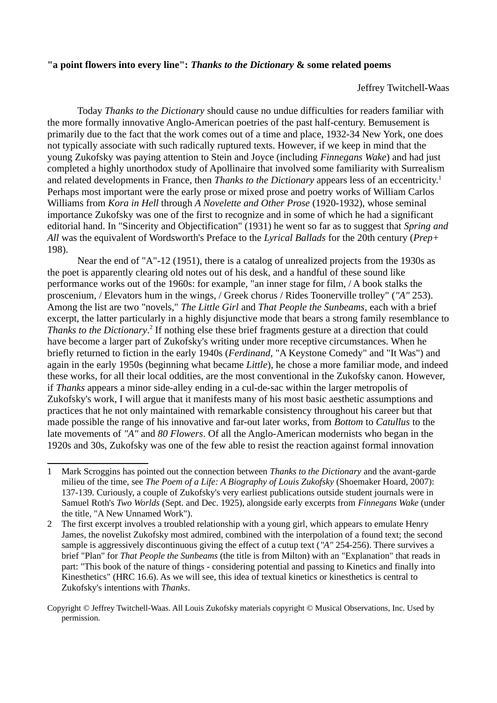## **"a point flowers into every line":** *Thanks to the Dictionary* **& some related poems**

<span id="page-0-0"></span>Jeffrey Twitchell-Waas

Today *Thanks to the Dictionary* should cause no undue difficulties for readers familiar with the more formally innovative Anglo-American poetries of the past half-century. Bemusement is primarily due to the fact that the work comes out of a time and place, 1932-34 New York, one does not typically associate with such radically ruptured texts. However, if we keep in mind that the young Zukofsky was paying attention to Stein and Joyce (including *Finnegans Wake*) and had just completed a highly unorthodox study of Apollinaire that involved some familiarity with Surrealism and related developments in France, then *Thanks to the Dictionary* appears less of an eccentricity.<sup>[1](#page-0-1)</sup> Perhaps most important were the early prose or mixed prose and poetry works of William Carlos Williams from *Kora in Hell* through *A Novelette and Other Prose* (1920-1932), whose seminal importance Zukofsky was one of the first to recognize and in some of which he had a significant editorial hand. In "Sincerity and Objectification" (1931) he went so far as to suggest that *Spring and All* was the equivalent of Wordsworth's Preface to the *Lyrical Ballads* for the 20th century (*Prep+* 198).

<span id="page-0-2"></span>Near the end of "A"-12 (1951), there is a catalog of unrealized projects from the 1930s as the poet is apparently clearing old notes out of his desk, and a handful of these sound like performance works out of the 1960s: for example, "an inner stage for film, / A book stalks the proscenium, / Elevators hum in the wings, / Greek chorus / Rides Toonerville trolley" (*"A"* 253). Among the list are two "novels," *The Little Girl* and *That People the Sunbeams*, each with a brief excerpt, the latter particularly in a highly disjunctive mode that bears a strong family resemblance to Thanks to the Dictionary.<sup>[2](#page-0-3)</sup> If nothing else these brief fragments gesture at a direction that could have become a larger part of Zukofsky's writing under more receptive circumstances. When he briefly returned to fiction in the early 1940s (*Ferdinand*, "A Keystone Comedy" and "It Was") and again in the early 1950s (beginning what became *Little*), he chose a more familiar mode, and indeed these works, for all their local oddities, are the most conventional in the Zukofsky canon. However, if *Thanks* appears a minor side-alley ending in a cul-de-sac within the larger metropolis of Zukofsky's work, I will argue that it manifests many of his most basic aesthetic assumptions and practices that he not only maintained with remarkable consistency throughout his career but that made possible the range of his innovative and far-out later works, from *Bottom* to *Catullus* to the late movements of *"A"* and *80 Flowers*. Of all the Anglo-American modernists who began in the 1920s and 30s, Zukofsky was one of the few able to resist the reaction against formal innovation

<span id="page-0-1"></span>[<sup>1</sup>](#page-0-0) Mark Scroggins has pointed out the connection between *Thanks to the Dictionary* and the avant-garde milieu of the time, see *The Poem of a Life: A Biography of Louis Zukofsky* (Shoemaker Hoard, 2007): 137-139. Curiously, a couple of Zukofsky's very earliest publications outside student journals were in Samuel Roth's *Two Worlds* (Sept. and Dec. 1925), alongside early excerpts from *Finnegans Wake* (under the title, "A New Unnamed Work").

<span id="page-0-3"></span>[<sup>2</sup>](#page-0-2) The first excerpt involves a troubled relationship with a young girl, which appears to emulate Henry James, the novelist Zukofsky most admired, combined with the interpolation of a found text; the second sample is aggressively discontinuous giving the effect of a cutup text (*"A"* 254-256). There survives a brief "Plan" for *That People the Sunbeams* (the title is from Milton) with an "Explanation" that reads in part: "This book of the nature of things - considering potential and passing to Kinetics and finally into Kinesthetics" (HRC 16.6). As we will see, this idea of textual kinetics or kinesthetics is central to Zukofsky's intentions with *Thanks*.

Copyright © Jeffrey Twitchell-Waas. All Louis Zukofsky materials copyright © Musical Observations, Inc. Used by permission.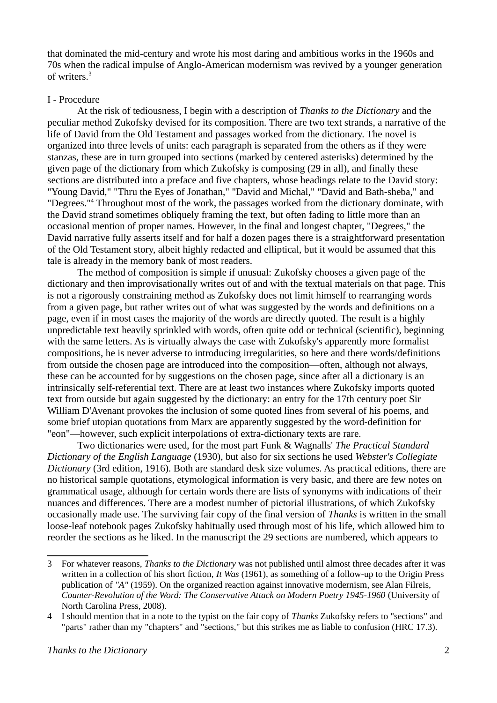<span id="page-1-0"></span>that dominated the mid-century and wrote his most daring and ambitious works in the 1960s and 70s when the radical impulse of Anglo-American modernism was revived by a younger generation of writers.<sup>[3](#page-1-1)</sup>

## I - Procedure

At the risk of tediousness, I begin with a description of *Thanks to the Dictionary* and the peculiar method Zukofsky devised for its composition. There are two text strands, a narrative of the life of David from the Old Testament and passages worked from the dictionary. The novel is organized into three levels of units: each paragraph is separated from the others as if they were stanzas, these are in turn grouped into sections (marked by centered asterisks) determined by the given page of the dictionary from which Zukofsky is composing (29 in all), and finally these sections are distributed into a preface and five chapters, whose headings relate to the David story: "Young David," "Thru the Eyes of Jonathan," "David and Michal," "David and Bath-sheba," and "Degrees."<sup>[4](#page-1-3)</sup> Throughout most of the work, the passages worked from the dictionary dominate, with the David strand sometimes obliquely framing the text, but often fading to little more than an occasional mention of proper names. However, in the final and longest chapter, "Degrees," the David narrative fully asserts itself and for half a dozen pages there is a straightforward presentation of the Old Testament story, albeit highly redacted and elliptical, but it would be assumed that this tale is already in the memory bank of most readers.

<span id="page-1-2"></span>The method of composition is simple if unusual: Zukofsky chooses a given page of the dictionary and then improvisationally writes out of and with the textual materials on that page. This is not a rigorously constraining method as Zukofsky does not limit himself to rearranging words from a given page, but rather writes out of what was suggested by the words and definitions on a page, even if in most cases the majority of the words are directly quoted. The result is a highly unpredictable text heavily sprinkled with words, often quite odd or technical (scientific), beginning with the same letters. As is virtually always the case with Zukofsky's apparently more formalist compositions, he is never adverse to introducing irregularities, so here and there words/definitions from outside the chosen page are introduced into the composition—often, although not always, these can be accounted for by suggestions on the chosen page, since after all a dictionary is an intrinsically self-referential text. There are at least two instances where Zukofsky imports quoted text from outside but again suggested by the dictionary: an entry for the 17th century poet Sir William D'Avenant provokes the inclusion of some quoted lines from several of his poems, and some brief utopian quotations from Marx are apparently suggested by the word-definition for "eon"—however, such explicit interpolations of extra-dictionary texts are rare.

Two dictionaries were used, for the most part Funk & Wagnalls' *The Practical Standard Dictionary of the English Language* (1930), but also for six sections he used *Webster's Collegiate Dictionary* (3rd edition, 1916). Both are standard desk size volumes. As practical editions, there are no historical sample quotations, etymological information is very basic, and there are few notes on grammatical usage, although for certain words there are lists of synonyms with indications of their nuances and differences. There are a modest number of pictorial illustrations, of which Zukofsky occasionally made use. The surviving fair copy of the final version of *Thanks* is written in the small loose-leaf notebook pages Zukofsky habitually used through most of his life, which allowed him to reorder the sections as he liked. In the manuscript the 29 sections are numbered, which appears to

<span id="page-1-1"></span>[<sup>3</sup>](#page-1-0) For whatever reasons, *Thanks to the Dictionary* was not published until almost three decades after it was written in a collection of his short fiction, *It Was* (1961), as something of a follow-up to the Origin Press publication of *"A"* (1959). On the organized reaction against innovative modernism, see Alan Filreis, *Counter-Revolution of the Word: The Conservative Attack on Modern Poetry 1945-1960* (University of North Carolina Press, 2008).

<span id="page-1-3"></span>[<sup>4</sup>](#page-1-2) I should mention that in a note to the typist on the fair copy of *Thanks* Zukofsky refers to "sections" and "parts" rather than my "chapters" and "sections," but this strikes me as liable to confusion (HRC 17.3).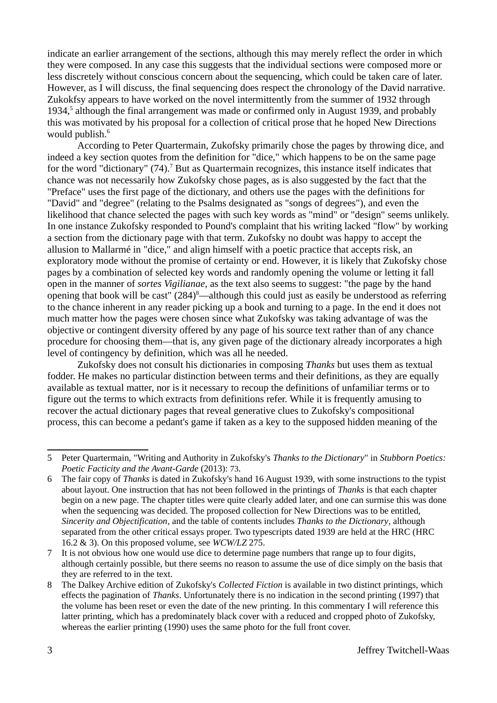indicate an earlier arrangement of the sections, although this may merely reflect the order in which they were composed. In any case this suggests that the individual sections were composed more or less discretely without conscious concern about the sequencing, which could be taken care of later. However, as I will discuss, the final sequencing does respect the chronology of the David narrative. Zukokfsy appears to have worked on the novel intermittently from the summer of 1932 through 1934,<sup>[5](#page-2-1)</sup> although the final arrangement was made or confirmed only in August 1939, and probably this was motivated by his proposal for a collection of critical prose that he hoped New Directions would publish.<sup>[6](#page-2-3)</sup>

<span id="page-2-4"></span><span id="page-2-2"></span><span id="page-2-0"></span>According to Peter Quartermain, Zukofsky primarily chose the pages by throwing dice, and indeed a key section quotes from the definition for "dice," which happens to be on the same page for the word "dictionary" ([7](#page-2-5)4).<sup>7</sup> But as Quartermain recognizes, this instance itself indicates that chance was not necessarily how Zukofsky chose pages, as is also suggested by the fact that the "Preface" uses the first page of the dictionary, and others use the pages with the definitions for "David" and "degree" (relating to the Psalms designated as "songs of degrees"), and even the likelihood that chance selected the pages with such key words as "mind" or "design" seems unlikely. In one instance Zukofsky responded to Pound's complaint that his writing lacked "flow" by working a section from the dictionary page with that term. Zukofsky no doubt was happy to accept the allusion to Mallarmé in "dice," and align himself with a poetic practice that accepts risk, an exploratory mode without the promise of certainty or end. However, it is likely that Zukofsky chose pages by a combination of selected key words and randomly opening the volume or letting it fall open in the manner of *sortes Vigilianae*, as the text also seems to suggest: "the page by the hand opening that book will be cast"  $(284)^8$  $(284)^8$  $(284)^8$ —although this could just as easily be understood as referring to the chance inherent in any reader picking up a book and turning to a page. In the end it does not much matter how the pages were chosen since what Zukofsky was taking advantage of was the objective or contingent diversity offered by any page of his source text rather than of any chance procedure for choosing them—that is, any given page of the dictionary already incorporates a high level of contingency by definition, which was all he needed.

<span id="page-2-6"></span>Zukofsky does not consult his dictionaries in composing *Thanks* but uses them as textual fodder. He makes no particular distinction between terms and their definitions, as they are equally available as textual matter, nor is it necessary to recoup the definitions of unfamiliar terms or to figure out the terms to which extracts from definitions refer. While it is frequently amusing to recover the actual dictionary pages that reveal generative clues to Zukofsky's compositional process, this can become a pedant's game if taken as a key to the supposed hidden meaning of the

<span id="page-2-1"></span>[<sup>5</sup>](#page-2-0) Peter Quartermain, "Writing and Authority in Zukofsky's *Thanks to the Dictionary*" in *Stubborn Poetics: Poetic Facticity and the Avant-Garde* (2013): 73.

<span id="page-2-3"></span>[<sup>6</sup>](#page-2-2) The fair copy of *Thanks* is dated in Zukofsky's hand 16 August 1939, with some instructions to the typist about layout. One instruction that has not been followed in the printings of *Thanks* is that each chapter begin on a new page. The chapter titles were quite clearly added later, and one can surmise this was done when the sequencing was decided. The proposed collection for New Directions was to be entitled, *Sincerity and Objectification*, and the table of contents includes *Thanks to the Dictionary*, although separated from the other critical essays proper. Two typescripts dated 1939 are held at the HRC (HRC 16.2 & 3). On this proposed volume, see *WCW/LZ* 275.

<span id="page-2-5"></span>[<sup>7</sup>](#page-2-4) It is not obvious how one would use dice to determine page numbers that range up to four digits, although certainly possible, but there seems no reason to assume the use of dice simply on the basis that they are referred to in the text.

<span id="page-2-7"></span>[<sup>8</sup>](#page-2-6) The Dalkey Archive edition of Zukofsky's *Collected Fiction* is available in two distinct printings, which effects the pagination of *Thanks*. Unfortunately there is no indication in the second printing (1997) that the volume has been reset or even the date of the new printing. In this commentary I will reference this latter printing, which has a predominately black cover with a reduced and cropped photo of Zukofsky, whereas the earlier printing (1990) uses the same photo for the full front cover.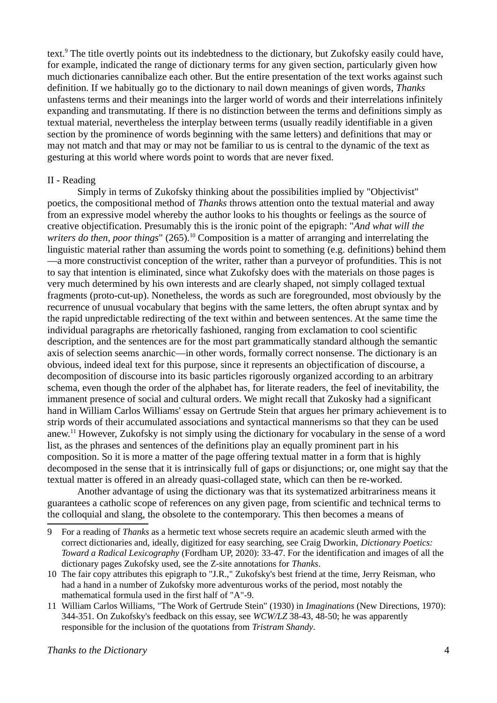<span id="page-3-0"></span>text.<sup>[9](#page-3-1)</sup> The title overtly points out its indebtedness to the dictionary, but Zukofsky easily could have, for example, indicated the range of dictionary terms for any given section, particularly given how much dictionaries cannibalize each other. But the entire presentation of the text works against such definition. If we habitually go to the dictionary to nail down meanings of given words, *Thanks* unfastens terms and their meanings into the larger world of words and their interrelations infinitely expanding and transmutating. If there is no distinction between the terms and definitions simply as textual material, nevertheless the interplay between terms (usually readily identifiable in a given section by the prominence of words beginning with the same letters) and definitions that may or may not match and that may or may not be familiar to us is central to the dynamic of the text as gesturing at this world where words point to words that are never fixed.

## II - Reading

<span id="page-3-2"></span>Simply in terms of Zukofsky thinking about the possibilities implied by "Objectivist" poetics, the compositional method of *Thanks* throws attention onto the textual material and away from an expressive model whereby the author looks to his thoughts or feelings as the source of creative objectification. Presumably this is the ironic point of the epigraph: "*And what will the*  writers do then, poor things" (265).<sup>[10](#page-3-3)</sup> Composition is a matter of arranging and interrelating the linguistic material rather than assuming the words point to something (e.g. definitions) behind them —a more constructivist conception of the writer, rather than a purveyor of profundities. This is not to say that intention is eliminated, since what Zukofsky does with the materials on those pages is very much determined by his own interests and are clearly shaped, not simply collaged textual fragments (proto-cut-up). Nonetheless, the words as such are foregrounded, most obviously by the recurrence of unusual vocabulary that begins with the same letters, the often abrupt syntax and by the rapid unpredictable redirecting of the text within and between sentences. At the same time the individual paragraphs are rhetorically fashioned, ranging from exclamation to cool scientific description, and the sentences are for the most part grammatically standard although the semantic axis of selection seems anarchic—in other words, formally correct nonsense. The dictionary is an obvious, indeed ideal text for this purpose, since it represents an objectification of discourse, a decomposition of discourse into its basic particles rigorously organized according to an arbitrary schema, even though the order of the alphabet has, for literate readers, the feel of inevitability, the immanent presence of social and cultural orders. We might recall that Zukosky had a significant hand in William Carlos Williams' essay on Gertrude Stein that argues her primary achievement is to strip words of their accumulated associations and syntactical mannerisms so that they can be used anew.[11](#page-3-5) However, Zukofsky is not simply using the dictionary for vocabulary in the sense of a word list, as the phrases and sentences of the definitions play an equally prominent part in his composition. So it is more a matter of the page offering textual matter in a form that is highly decomposed in the sense that it is intrinsically full of gaps or disjunctions; or, one might say that the textual matter is offered in an already quasi-collaged state, which can then be re-worked.

<span id="page-3-4"></span>Another advantage of using the dictionary was that its systematized arbitrariness means it guarantees a catholic scope of references on any given page, from scientific and technical terms to the colloquial and slang, the obsolete to the contemporary. This then becomes a means of

<span id="page-3-1"></span>[<sup>9</sup>](#page-3-0) For a reading of *Thanks* as a hermetic text whose secrets require an academic sleuth armed with the correct dictionaries and, ideally, digitized for easy searching, see Craig Dworkin, *Dictionary Poetics: Toward a Radical Lexicography* (Fordham UP, 2020): 33-47. For the identification and images of all the dictionary pages Zukofsky used, see the Z-site annotations for *Thanks*.

<span id="page-3-3"></span>[<sup>10</sup>](#page-3-2) The fair copy attributes this epigraph to "J.R.," Zukofsky's best friend at the time, Jerry Reisman, who had a hand in a number of Zukofsky more adventurous works of the period, most notably the mathematical formula used in the first half of "A"-9.

<span id="page-3-5"></span>[<sup>11</sup>](#page-3-4) William Carlos Williams, "The Work of Gertrude Stein" (1930) in *Imaginations* (New Directions, 1970): 344-351. On Zukofsky's feedback on this essay, see *WCW/LZ* 38-43, 48-50; he was apparently responsible for the inclusion of the quotations from *Tristram Shandy*.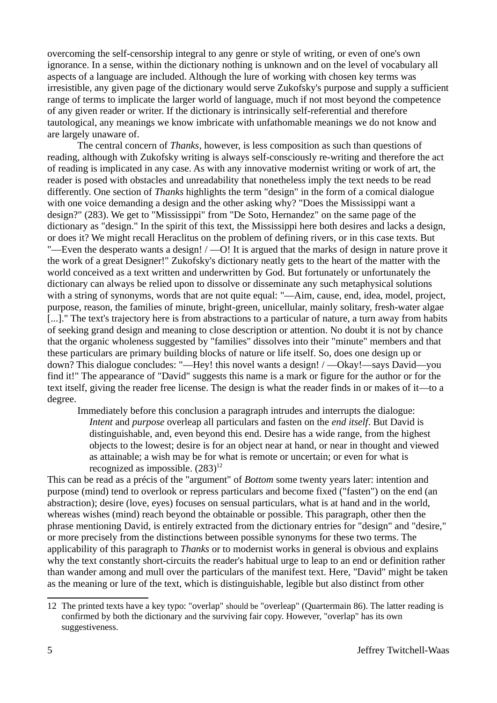overcoming the self-censorship integral to any genre or style of writing, or even of one's own ignorance. In a sense, within the dictionary nothing is unknown and on the level of vocabulary all aspects of a language are included. Although the lure of working with chosen key terms was irresistible, any given page of the dictionary would serve Zukofsky's purpose and supply a sufficient range of terms to implicate the larger world of language, much if not most beyond the competence of any given reader or writer. If the dictionary is intrinsically self-referential and therefore tautological, any meanings we know imbricate with unfathomable meanings we do not know and are largely unaware of.

The central concern of *Thanks*, however, is less composition as such than questions of reading, although with Zukofsky writing is always self-consciously re-writing and therefore the act of reading is implicated in any case. As with any innovative modernist writing or work of art, the reader is posed with obstacles and unreadability that nonetheless imply the text needs to be read differently. One section of *Thanks* highlights the term "design" in the form of a comical dialogue with one voice demanding a design and the other asking why? "Does the Mississippi want a design?" (283). We get to "Mississippi" from "De Soto, Hernandez" on the same page of the dictionary as "design." In the spirit of this text, the Mississippi here both desires and lacks a design, or does it? We might recall Heraclitus on the problem of defining rivers, or in this case texts. But "—Even the desperato wants a design!  $/$  —O! It is argued that the marks of design in nature prove it the work of a great Designer!" Zukofsky's dictionary neatly gets to the heart of the matter with the world conceived as a text written and underwritten by God. But fortunately or unfortunately the dictionary can always be relied upon to dissolve or disseminate any such metaphysical solutions with a string of synonyms, words that are not quite equal: "—Aim, cause, end, idea, model, project, purpose, reason, the families of minute, bright-green, unicellular, mainly solitary, fresh-water algae [...]." The text's trajectory here is from abstractions to a particular of nature, a turn away from habits of seeking grand design and meaning to close description or attention. No doubt it is not by chance that the organic wholeness suggested by "families" dissolves into their "minute" members and that these particulars are primary building blocks of nature or life itself. So, does one design up or down? This dialogue concludes: "—Hey! this novel wants a design! / —Okay!—says David—you find it!" The appearance of "David" suggests this name is a mark or figure for the author or for the text itself, giving the reader free license. The design is what the reader finds in or makes of it—to a degree.

<span id="page-4-0"></span>Immediately before this conclusion a paragraph intrudes and interrupts the dialogue: *Intent* and *purpose* overleap all particulars and fasten on the *end itself*. But David is distinguishable, and, even beyond this end. Desire has a wide range, from the highest objects to the lowest; desire is for an object near at hand, or near in thought and viewed as attainable; a wish may be for what is remote or uncertain; or even for what is recognized as impossible.  $(283)^{12}$  $(283)^{12}$  $(283)^{12}$ 

This can be read as a précis of the "argument" of *Bottom* some twenty years later: intention and purpose (mind) tend to overlook or repress particulars and become fixed ("fasten") on the end (an abstraction); desire (love, eyes) focuses on sensual particulars, what is at hand and in the world, whereas wishes (mind) reach beyond the obtainable or possible. This paragraph, other then the phrase mentioning David, is entirely extracted from the dictionary entries for "design" and "desire," or more precisely from the distinctions between possible synonyms for these two terms. The applicability of this paragraph to *Thanks* or to modernist works in general is obvious and explains why the text constantly short-circuits the reader's habitual urge to leap to an end or definition rather than wander among and mull over the particulars of the manifest text. Here, "David" might be taken as the meaning or lure of the text, which is distinguishable, legible but also distinct from other

<span id="page-4-1"></span>[<sup>12</sup>](#page-4-0) The printed texts have a key typo: "overlap" should be "overleap" (Quartermain 86). The latter reading is confirmed by both the dictionary and the surviving fair copy. However, "overlap" has its own suggestiveness.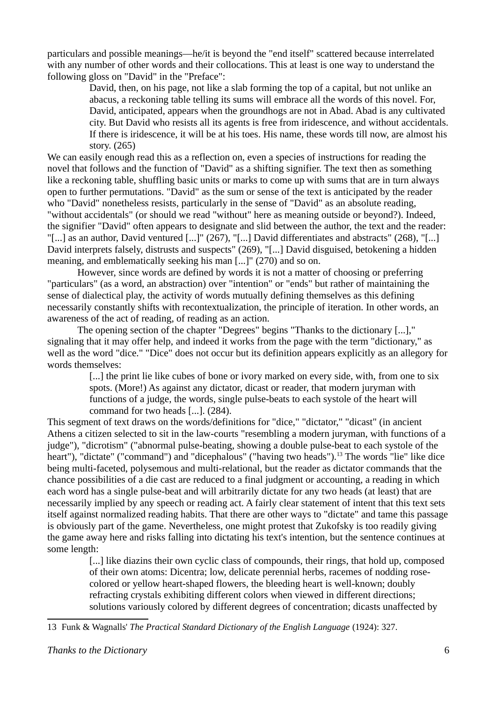particulars and possible meanings—he/it is beyond the "end itself" scattered because interrelated with any number of other words and their collocations. This at least is one way to understand the following gloss on "David" in the "Preface":

> David, then, on his page, not like a slab forming the top of a capital, but not unlike an abacus, a reckoning table telling its sums will embrace all the words of this novel. For, David, anticipated, appears when the groundhogs are not in Abad. Abad is any cultivated city. But David who resists all its agents is free from iridescence, and without accidentals. If there is iridescence, it will be at his toes. His name, these words till now, are almost his story. (265)

We can easily enough read this as a reflection on, even a species of instructions for reading the novel that follows and the function of "David" as a shifting signifier. The text then as something like a reckoning table, shuffling basic units or marks to come up with sums that are in turn always open to further permutations. "David" as the sum or sense of the text is anticipated by the reader who "David" nonetheless resists, particularly in the sense of "David" as an absolute reading, "without accidentals" (or should we read "without" here as meaning outside or beyond?). Indeed, the signifier "David" often appears to designate and slid between the author, the text and the reader: "[...] as an author, David ventured [...]" (267), "[...] David differentiates and abstracts" (268), "[...] David interprets falsely, distrusts and suspects" (269), "[...] David disguised, betokening a hidden meaning, and emblematically seeking his man [...]" (270) and so on.

However, since words are defined by words it is not a matter of choosing or preferring "particulars" (as a word, an abstraction) over "intention" or "ends" but rather of maintaining the sense of dialectical play, the activity of words mutually defining themselves as this defining necessarily constantly shifts with recontextualization, the principle of iteration. In other words, an awareness of the act of reading, of reading as an action.

The opening section of the chapter "Degrees" begins "Thanks to the dictionary [...]," signaling that it may offer help, and indeed it works from the page with the term "dictionary," as well as the word "dice." "Dice" does not occur but its definition appears explicitly as an allegory for words themselves:

> <span id="page-5-0"></span>[...] the print lie like cubes of bone or ivory marked on every side, with, from one to six spots. (More!) As against any dictator, dicast or reader, that modern juryman with functions of a judge, the words, single pulse-beats to each systole of the heart will command for two heads [...]. (284).

This segment of text draws on the words/definitions for "dice," "dictator," "dicast" (in ancient Athens a citizen selected to sit in the law-courts "resembling a modern juryman, with functions of a judge"), "dicrotism" ("abnormal pulse-beating, showing a double pulse-beat to each systole of the heart"), "dictate" ("command") and "dicephalous" ("having two heads").<sup>[13](#page-5-1)</sup> The words "lie" like dice being multi-faceted, polysemous and multi-relational, but the reader as dictator commands that the chance possibilities of a die cast are reduced to a final judgment or accounting, a reading in which each word has a single pulse-beat and will arbitrarily dictate for any two heads (at least) that are necessarily implied by any speech or reading act. A fairly clear statement of intent that this text sets itself against normalized reading habits. That there are other ways to "dictate" and tame this passage is obviously part of the game. Nevertheless, one might protest that Zukofsky is too readily giving the game away here and risks falling into dictating his text's intention, but the sentence continues at some length:

> [...] like diazins their own cyclic class of compounds, their rings, that hold up, composed of their own atoms: Dicentra; low, delicate perennial herbs, racemes of nodding rosecolored or yellow heart-shaped flowers, the bleeding heart is well-known; doubly refracting crystals exhibiting different colors when viewed in different directions; solutions variously colored by different degrees of concentration; dicasts unaffected by

<span id="page-5-1"></span>[<sup>13</sup>](#page-5-0) Funk & Wagnalls' *The Practical Standard Dictionary of the English Language* (1924): 327.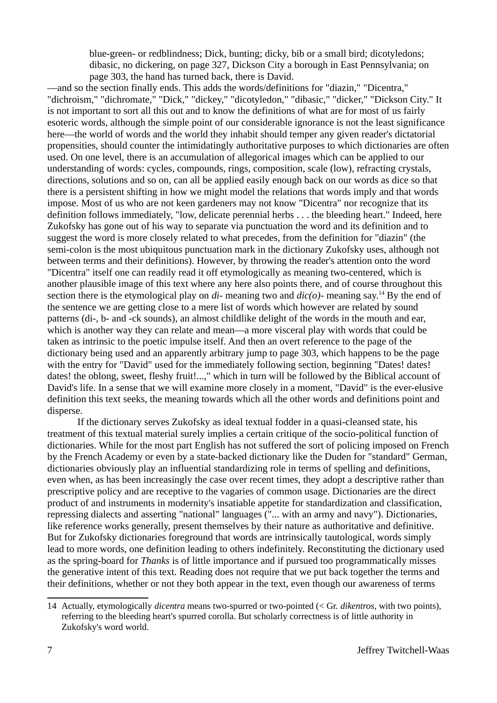blue-green- or redblindness; Dick, bunting; dicky, bib or a small bird; dicotyledons; dibasic, no dickering, on page 327, Dickson City a borough in East Pennsylvania; on page 303, the hand has turned back, there is David.

—and so the section finally ends. This adds the words/definitions for "diazin," "Dicentra," "dichroism," "dichromate," "Dick," "dickey," "dicotyledon," "dibasic," "dicker," "Dickson City." It is not important to sort all this out and to know the definitions of what are for most of us fairly esoteric words, although the simple point of our considerable ignorance is not the least significance here—the world of words and the world they inhabit should temper any given reader's dictatorial propensities, should counter the intimidatingly authoritative purposes to which dictionaries are often used. On one level, there is an accumulation of allegorical images which can be applied to our understanding of words: cycles, compounds, rings, composition, scale (low), refracting crystals, directions, solutions and so on, can all be applied easily enough back on our words as dice so that there is a persistent shifting in how we might model the relations that words imply and that words impose. Most of us who are not keen gardeners may not know "Dicentra" nor recognize that its definition follows immediately, "low, delicate perennial herbs . . . the bleeding heart." Indeed, here Zukofsky has gone out of his way to separate via punctuation the word and its definition and to suggest the word is more closely related to what precedes, from the definition for "diazin" (the semi-colon is the most ubiquitous punctuation mark in the dictionary Zukofsky uses, although not between terms and their definitions). However, by throwing the reader's attention onto the word "Dicentra" itself one can readily read it off etymologically as meaning two-centered, which is another plausible image of this text where any here also points there, and of course throughout this section there is the etymological play on *di-* meaning two and *dic(o)-* meaning say.[14](#page-6-1) By the end of the sentence we are getting close to a mere list of words which however are related by sound patterns (di-, b- and -ck sounds), an almost childlike delight of the words in the mouth and ear, which is another way they can relate and mean—a more visceral play with words that could be taken as intrinsic to the poetic impulse itself. And then an overt reference to the page of the dictionary being used and an apparently arbitrary jump to page 303, which happens to be the page with the entry for "David" used for the immediately following section, beginning "Dates! dates! dates! the oblong, sweet, fleshy fruit!...," which in turn will be followed by the Biblical account of David's life. In a sense that we will examine more closely in a moment, "David" is the ever-elusive definition this text seeks, the meaning towards which all the other words and definitions point and disperse.

<span id="page-6-0"></span>If the dictionary serves Zukofsky as ideal textual fodder in a quasi-cleansed state, his treatment of this textual material surely implies a certain critique of the socio-political function of dictionaries. While for the most part English has not suffered the sort of policing imposed on French by the French Academy or even by a state-backed dictionary like the Duden for "standard" German, dictionaries obviously play an influential standardizing role in terms of spelling and definitions, even when, as has been increasingly the case over recent times, they adopt a descriptive rather than prescriptive policy and are receptive to the vagaries of common usage. Dictionaries are the direct product of and instruments in modernity's insatiable appetite for standardization and classification, repressing dialects and asserting "national" languages ("... with an army and navy"). Dictionaries, like reference works generally, present themselves by their nature as authoritative and definitive. But for Zukofsky dictionaries foreground that words are intrinsically tautological, words simply lead to more words, one definition leading to others indefinitely. Reconstituting the dictionary used as the spring-board for *Thanks* is of little importance and if pursued too programmatically misses the generative intent of this text. Reading does not require that we put back together the terms and their definitions, whether or not they both appear in the text, even though our awareness of terms

<span id="page-6-1"></span>[<sup>14</sup>](#page-6-0) Actually, etymologically *dicentra* means two-spurred or two-pointed (< Gr. *dikentros*, with two points), referring to the bleeding heart's spurred corolla. But scholarly correctness is of little authority in Zukofsky's word world.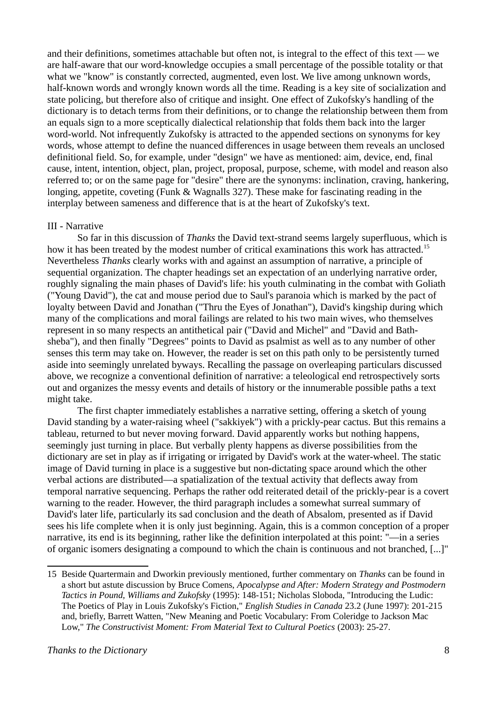and their definitions, sometimes attachable but often not, is integral to the effect of this text — we are half-aware that our word-knowledge occupies a small percentage of the possible totality or that what we "know" is constantly corrected, augmented, even lost. We live among unknown words, half-known words and wrongly known words all the time. Reading is a key site of socialization and state policing, but therefore also of critique and insight. One effect of Zukofsky's handling of the dictionary is to detach terms from their definitions, or to change the relationship between them from an equals sign to a more sceptically dialectical relationship that folds them back into the larger word-world. Not infrequently Zukofsky is attracted to the appended sections on synonyms for key words, whose attempt to define the nuanced differences in usage between them reveals an unclosed definitional field. So, for example, under "design" we have as mentioned: aim, device, end, final cause, intent, intention, object, plan, project, proposal, purpose, scheme, with model and reason also referred to; or on the same page for "desire" there are the synonyms: inclination, craving, hankering, longing, appetite, coveting (Funk & Wagnalls 327). These make for fascinating reading in the interplay between sameness and difference that is at the heart of Zukofsky's text.

# III - Narrative

<span id="page-7-0"></span>So far in this discussion of *Thanks* the David text-strand seems largely superfluous, which is how it has been treated by the modest number of critical examinations this work has attracted.<sup>[15](#page-7-1)</sup> Nevertheless *Thanks* clearly works with and against an assumption of narrative, a principle of sequential organization. The chapter headings set an expectation of an underlying narrative order, roughly signaling the main phases of David's life: his youth culminating in the combat with Goliath ("Young David"), the cat and mouse period due to Saul's paranoia which is marked by the pact of loyalty between David and Jonathan ("Thru the Eyes of Jonathan"), David's kingship during which many of the complications and moral failings are related to his two main wives, who themselves represent in so many respects an antithetical pair ("David and Michel" and "David and Bathsheba"), and then finally "Degrees" points to David as psalmist as well as to any number of other senses this term may take on. However, the reader is set on this path only to be persistently turned aside into seemingly unrelated byways. Recalling the passage on overleaping particulars discussed above, we recognize a conventional definition of narrative: a teleological end retrospectively sorts out and organizes the messy events and details of history or the innumerable possible paths a text might take.

The first chapter immediately establishes a narrative setting, offering a sketch of young David standing by a water-raising wheel ("sakkiyek") with a prickly-pear cactus. But this remains a tableau, returned to but never moving forward. David apparently works but nothing happens, seemingly just turning in place. But verbally plenty happens as diverse possibilities from the dictionary are set in play as if irrigating or irrigated by David's work at the water-wheel. The static image of David turning in place is a suggestive but non-dictating space around which the other verbal actions are distributed—a spatialization of the textual activity that deflects away from temporal narrative sequencing. Perhaps the rather odd reiterated detail of the prickly-pear is a covert warning to the reader. However, the third paragraph includes a somewhat surreal summary of David's later life, particularly its sad conclusion and the death of Absalom, presented as if David sees his life complete when it is only just beginning. Again, this is a common conception of a proper narrative, its end is its beginning, rather like the definition interpolated at this point: "—in a series of organic isomers designating a compound to which the chain is continuous and not branched, [...]"

<span id="page-7-1"></span>[<sup>15</sup>](#page-7-0) Beside Quartermain and Dworkin previously mentioned, further commentary on *Thanks* can be found in a short but astute discussion by Bruce Comens, *Apocalypse and After: Modern Strategy and Postmodern Tactics in Pound, Williams and Zukofsky* (1995): 148-151; Nicholas Sloboda, "Introducing the Ludic: The Poetics of Play in Louis Zukofsky's Fiction," *English Studies in Canada* 23.2 (June 1997): 201-215 and, briefly, Barrett Watten, "New Meaning and Poetic Vocabulary: From Coleridge to Jackson Mac Low," *The Constructivist Moment: From Material Text to Cultural Poetics* (2003): 25-27.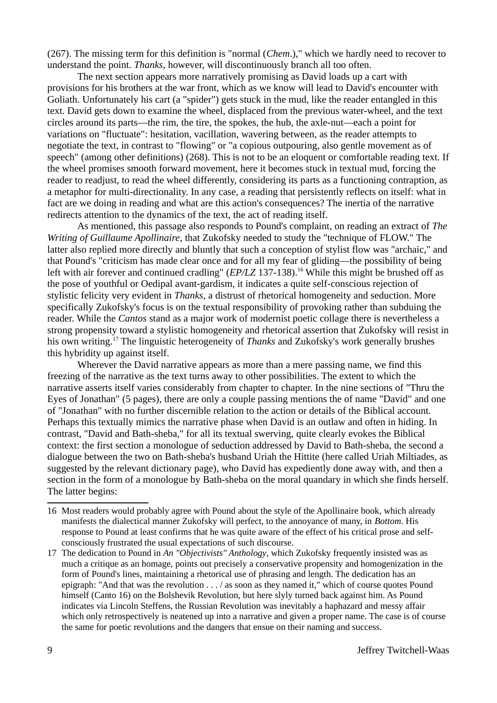(267). The missing term for this definition is "normal (*Chem*.)," which we hardly need to recover to understand the point. *Thanks*, however, will discontinuously branch all too often.

The next section appears more narratively promising as David loads up a cart with provisions for his brothers at the war front, which as we know will lead to David's encounter with Goliath. Unfortunately his cart (a "spider") gets stuck in the mud, like the reader entangled in this text. David gets down to examine the wheel, displaced from the previous water-wheel, and the text circles around its parts—the rim, the tire, the spokes, the hub, the axle-nut—each a point for variations on "fluctuate": hesitation, vacillation, wavering between, as the reader attempts to negotiate the text, in contrast to "flowing" or "a copious outpouring, also gentle movement as of speech" (among other definitions) (268). This is not to be an eloquent or comfortable reading text. If the wheel promises smooth forward movement, here it becomes stuck in textual mud, forcing the reader to readjust, to read the wheel differently, considering its parts as a functioning contraption, as a metaphor for multi-directionality. In any case, a reading that persistently reflects on itself: what in fact are we doing in reading and what are this action's consequences? The inertia of the narrative redirects attention to the dynamics of the text, the act of reading itself.

<span id="page-8-0"></span>As mentioned, this passage also responds to Pound's complaint, on reading an extract of *The Writing of Guillaume Apollinaire*, that Zukofsky needed to study the "technique of FLOW." The latter also replied more directly and bluntly that such a conception of stylist flow was "archaic," and that Pound's "criticism has made clear once and for all my fear of gliding—the possibility of being left with air forever and continued cradling" (*EP*/*LZ* 137-138).<sup>[16](#page-8-1)</sup> While this might be brushed off as the pose of youthful or Oedipal avant-gardism, it indicates a quite self-conscious rejection of stylistic felicity very evident in *Thanks*, a distrust of rhetorical homogeneity and seduction. More specifically Zukofsky's focus is on the textual responsibility of provoking rather than subduing the reader. While the *Cantos* stand as a major work of modernist poetic collage there is nevertheless a strong propensity toward a stylistic homogeneity and rhetorical assertion that Zukofsky will resist in his own writing.[17](#page-8-3) The linguistic heterogeneity of *Thanks* and Zukofsky's work generally brushes this hybridity up against itself.

<span id="page-8-2"></span>Wherever the David narrative appears as more than a mere passing name, we find this freezing of the narrative as the text turns away to other possibilities. The extent to which the narrative asserts itself varies considerably from chapter to chapter. In the nine sections of "Thru the Eyes of Jonathan" (5 pages), there are only a couple passing mentions the of name "David" and one of "Jonathan" with no further discernible relation to the action or details of the Biblical account. Perhaps this textually mimics the narrative phase when David is an outlaw and often in hiding. In contrast, "David and Bath-sheba," for all its textual swerving, quite clearly evokes the Biblical context: the first section a monologue of seduction addressed by David to Bath-sheba, the second a dialogue between the two on Bath-sheba's husband Uriah the Hittite (here called Uriah Miltiades, as suggested by the relevant dictionary page), who David has expediently done away with, and then a section in the form of a monologue by Bath-sheba on the moral quandary in which she finds herself. The latter begins:

<span id="page-8-1"></span>[<sup>16</sup>](#page-8-0) Most readers would probably agree with Pound about the style of the Apollinaire book, which already manifests the dialectical manner Zukofsky will perfect, to the annoyance of many, in *Bottom*. His response to Pound at least confirms that he was quite aware of the effect of his critical prose and selfconsciously frustrated the usual expectations of such discourse.

<span id="page-8-3"></span>[<sup>17</sup>](#page-8-2) The dedication to Pound in *An "Objectivists" Anthology*, which Zukofsky frequently insisted was as much a critique as an homage, points out precisely a conservative propensity and homogenization in the form of Pound's lines, maintaining a rhetorical use of phrasing and length. The dedication has an epigraph: "And that was the revolution . . . / as soon as they named it," which of course quotes Pound himself (Canto 16) on the Bolshevik Revolution, but here slyly turned back against him. As Pound indicates via Lincoln Steffens, the Russian Revolution was inevitably a haphazard and messy affair which only retrospectively is neatened up into a narrative and given a proper name. The case is of course the same for poetic revolutions and the dangers that ensue on their naming and success.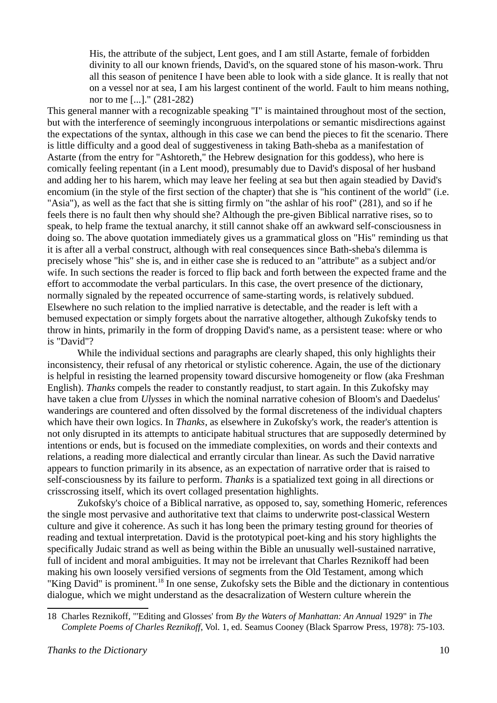His, the attribute of the subject, Lent goes, and I am still Astarte, female of forbidden divinity to all our known friends, David's, on the squared stone of his mason-work. Thru all this season of penitence I have been able to look with a side glance. It is really that not on a vessel nor at sea, I am his largest continent of the world. Fault to him means nothing, nor to me [...]." (281-282)

This general manner with a recognizable speaking "I" is maintained throughout most of the section, but with the interference of seemingly incongruous interpolations or semantic misdirections against the expectations of the syntax, although in this case we can bend the pieces to fit the scenario. There is little difficulty and a good deal of suggestiveness in taking Bath-sheba as a manifestation of Astarte (from the entry for "Ashtoreth," the Hebrew designation for this goddess), who here is comically feeling repentant (in a Lent mood), presumably due to David's disposal of her husband and adding her to his harem, which may leave her feeling at sea but then again steadied by David's encomium (in the style of the first section of the chapter) that she is "his continent of the world" (i.e. "Asia"), as well as the fact that she is sitting firmly on "the ashlar of his roof" (281), and so if he feels there is no fault then why should she? Although the pre-given Biblical narrative rises, so to speak, to help frame the textual anarchy, it still cannot shake off an awkward self-consciousness in doing so. The above quotation immediately gives us a grammatical gloss on "His" reminding us that it is after all a verbal construct, although with real consequences since Bath-sheba's dilemma is precisely whose "his" she is, and in either case she is reduced to an "attribute" as a subject and/or wife. In such sections the reader is forced to flip back and forth between the expected frame and the effort to accommodate the verbal particulars. In this case, the overt presence of the dictionary, normally signaled by the repeated occurrence of same-starting words, is relatively subdued. Elsewhere no such relation to the implied narrative is detectable, and the reader is left with a bemused expectation or simply forgets about the narrative altogether, although Zukofsky tends to throw in hints, primarily in the form of dropping David's name, as a persistent tease: where or who is "David"?

While the individual sections and paragraphs are clearly shaped, this only highlights their inconsistency, their refusal of any rhetorical or stylistic coherence. Again, the use of the dictionary is helpful in resisting the learned propensity toward discursive homogeneity or flow (aka Freshman English). *Thanks* compels the reader to constantly readjust, to start again. In this Zukofsky may have taken a clue from *Ulysses* in which the nominal narrative cohesion of Bloom's and Daedelus' wanderings are countered and often dissolved by the formal discreteness of the individual chapters which have their own logics. In *Thanks*, as elsewhere in Zukofsky's work, the reader's attention is not only disrupted in its attempts to anticipate habitual structures that are supposedly determined by intentions or ends, but is focused on the immediate complexities, on words and their contexts and relations, a reading more dialectical and errantly circular than linear. As such the David narrative appears to function primarily in its absence, as an expectation of narrative order that is raised to self-consciousness by its failure to perform. *Thanks* is a spatialized text going in all directions or crisscrossing itself, which its overt collaged presentation highlights.

Zukofsky's choice of a Biblical narrative, as opposed to, say, something Homeric, references the single most pervasive and authoritative text that claims to underwrite post-classical Western culture and give it coherence. As such it has long been the primary testing ground for theories of reading and textual interpretation. David is the prototypical poet-king and his story highlights the specifically Judaic strand as well as being within the Bible an unusually well-sustained narrative, full of incident and moral ambiguities. It may not be irrelevant that Charles Reznikoff had been making his own loosely versified versions of segments from the Old Testament, among which "King David" is prominent.[18](#page-9-1) In one sense, Zukofsky sets the Bible and the dictionary in contentious dialogue, which we might understand as the desacralization of Western culture wherein the

<span id="page-9-1"></span><span id="page-9-0"></span>[<sup>18</sup>](#page-9-0) Charles Reznikoff, "'Editing and Glosses' from *By the Waters of Manhattan: An Annual* 1929" in *The Complete Poems of Charles Reznikoff*, Vol. 1, ed. Seamus Cooney (Black Sparrow Press, 1978): 75-103.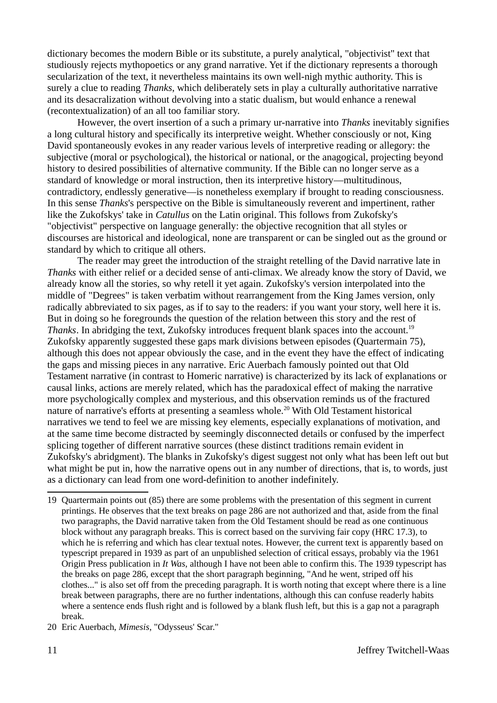dictionary becomes the modern Bible or its substitute, a purely analytical, "objectivist" text that studiously rejects mythopoetics or any grand narrative. Yet if the dictionary represents a thorough secularization of the text, it nevertheless maintains its own well-nigh mythic authority. This is surely a clue to reading *Thanks*, which deliberately sets in play a culturally authoritative narrative and its desacralization without devolving into a static dualism, but would enhance a renewal (recontextualization) of an all too familiar story.

However, the overt insertion of a such a primary ur-narrative into *Thanks* inevitably signifies a long cultural history and specifically its interpretive weight. Whether consciously or not, King David spontaneously evokes in any reader various levels of interpretive reading or allegory: the subjective (moral or psychological), the historical or national, or the anagogical, projecting beyond history to desired possibilities of alternative community. If the Bible can no longer serve as a standard of knowledge or moral instruction, then its interpretive history—multitudinous, contradictory, endlessly generative—is nonetheless exemplary if brought to reading consciousness. In this sense *Thanks*'s perspective on the Bible is simultaneously reverent and impertinent, rather like the Zukofskys' take in *Catullus* on the Latin original. This follows from Zukofsky's "objectivist" perspective on language generally: the objective recognition that all styles or discourses are historical and ideological, none are transparent or can be singled out as the ground or standard by which to critique all others.

<span id="page-10-0"></span>The reader may greet the introduction of the straight retelling of the David narrative late in *Thanks* with either relief or a decided sense of anti-climax. We already know the story of David, we already know all the stories, so why retell it yet again. Zukofsky's version interpolated into the middle of "Degrees" is taken verbatim without rearrangement from the King James version, only radically abbreviated to six pages, as if to say to the readers: if you want your story, well here it is. But in doing so he foregrounds the question of the relation between this story and the rest of *Thanks*. In abridging the text, Zukofsky introduces frequent blank spaces into the account.<sup>[19](#page-10-1)</sup> Zukofsky apparently suggested these gaps mark divisions between episodes (Quartermain 75), although this does not appear obviously the case, and in the event they have the effect of indicating the gaps and missing pieces in any narrative. Eric Auerbach famously pointed out that Old Testament narrative (in contrast to Homeric narrative) is characterized by its lack of explanations or causal links, actions are merely related, which has the paradoxical effect of making the narrative more psychologically complex and mysterious, and this observation reminds us of the fractured nature of narrative's efforts at presenting a seamless whole.<sup>[20](#page-10-3)</sup> With Old Testament historical narratives we tend to feel we are missing key elements, especially explanations of motivation, and at the same time become distracted by seemingly disconnected details or confused by the imperfect splicing together of different narrative sources (these distinct traditions remain evident in Zukofsky's abridgment). The blanks in Zukofsky's digest suggest not only what has been left out but what might be put in, how the narrative opens out in any number of directions, that is, to words, just as a dictionary can lead from one word-definition to another indefinitely.

<span id="page-10-2"></span><span id="page-10-1"></span>[<sup>19</sup>](#page-10-0) Quartermain points out (85) there are some problems with the presentation of this segment in current printings. He observes that the text breaks on page 286 are not authorized and that, aside from the final two paragraphs, the David narrative taken from the Old Testament should be read as one continuous block without any paragraph breaks. This is correct based on the surviving fair copy (HRC 17.3), to which he is referring and which has clear textual notes. However, the current text is apparently based on typescript prepared in 1939 as part of an unpublished selection of critical essays, probably via the 1961 Origin Press publication in *It Was*, although I have not been able to confirm this. The 1939 typescript has the breaks on page 286, except that the short paragraph beginning, "And he went, striped off his clothes..." is also set off from the preceding paragraph. It is worth noting that except where there is a line break between paragraphs, there are no further indentations, although this can confuse readerly habits where a sentence ends flush right and is followed by a blank flush left, but this is a gap not a paragraph break.

<span id="page-10-3"></span>[<sup>20</sup>](#page-10-2) Eric Auerbach, *Mimesis*, "Odysseus' Scar."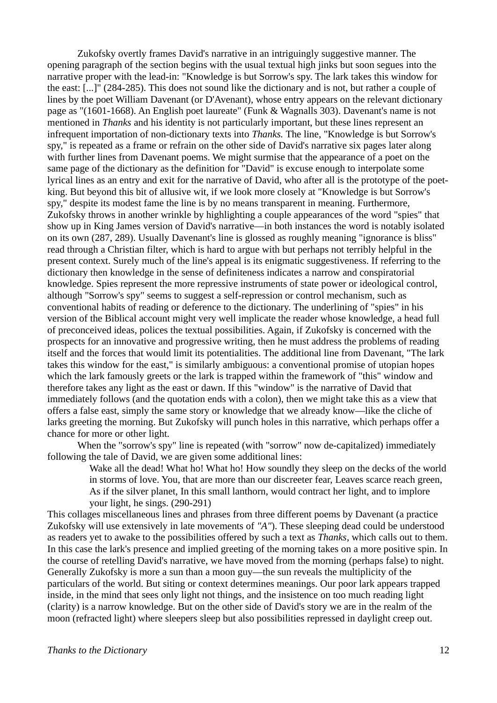Zukofsky overtly frames David's narrative in an intriguingly suggestive manner. The opening paragraph of the section begins with the usual textual high jinks but soon segues into the narrative proper with the lead-in: "Knowledge is but Sorrow's spy. The lark takes this window for the east: [...]" (284-285). This does not sound like the dictionary and is not, but rather a couple of lines by the poet William Davenant (or D'Avenant), whose entry appears on the relevant dictionary page as "(1601-1668). An English poet laureate" (Funk & Wagnalls 303). Davenant's name is not mentioned in *Thanks* and his identity is not particularly important, but these lines represent an infrequent importation of non-dictionary texts into *Thanks.* The line, "Knowledge is but Sorrow's spy," is repeated as a frame or refrain on the other side of David's narrative six pages later along with further lines from Davenant poems. We might surmise that the appearance of a poet on the same page of the dictionary as the definition for "David" is excuse enough to interpolate some lyrical lines as an entry and exit for the narrative of David, who after all is the prototype of the poetking. But beyond this bit of allusive wit, if we look more closely at "Knowledge is but Sorrow's spy," despite its modest fame the line is by no means transparent in meaning. Furthermore, Zukofsky throws in another wrinkle by highlighting a couple appearances of the word "spies" that show up in King James version of David's narrative—in both instances the word is notably isolated on its own (287, 289). Usually Davenant's line is glossed as roughly meaning "ignorance is bliss" read through a Christian filter, which is hard to argue with but perhaps not terribly helpful in the present context. Surely much of the line's appeal is its enigmatic suggestiveness. If referring to the dictionary then knowledge in the sense of definiteness indicates a narrow and conspiratorial knowledge. Spies represent the more repressive instruments of state power or ideological control, although "Sorrow's spy" seems to suggest a self-repression or control mechanism, such as conventional habits of reading or deference to the dictionary. The underlining of "spies" in his version of the Biblical account might very well implicate the reader whose knowledge, a head full of preconceived ideas, polices the textual possibilities. Again, if Zukofsky is concerned with the prospects for an innovative and progressive writing, then he must address the problems of reading itself and the forces that would limit its potentialities. The additional line from Davenant, "The lark takes this window for the east," is similarly ambiguous: a conventional promise of utopian hopes which the lark famously greets or the lark is trapped within the framework of "this" window and therefore takes any light as the east or dawn. If this "window" is the narrative of David that immediately follows (and the quotation ends with a colon), then we might take this as a view that offers a false east, simply the same story or knowledge that we already know—like the cliche of larks greeting the morning. But Zukofsky will punch holes in this narrative, which perhaps offer a chance for more or other light.

When the "sorrow's spy" line is repeated (with "sorrow" now de-capitalized) immediately following the tale of David, we are given some additional lines:

> Wake all the dead! What ho! What ho! How soundly they sleep on the decks of the world in storms of love. You, that are more than our discreeter fear, Leaves scarce reach green, As if the silver planet, In this small lanthorn, would contract her light, and to implore your light, he sings. (290-291)

This collages miscellaneous lines and phrases from three different poems by Davenant (a practice Zukofsky will use extensively in late movements of *"A"*). These sleeping dead could be understood as readers yet to awake to the possibilities offered by such a text as *Thanks*, which calls out to them. In this case the lark's presence and implied greeting of the morning takes on a more positive spin. In the course of retelling David's narrative, we have moved from the morning (perhaps false) to night. Generally Zukofsky is more a sun than a moon guy—the sun reveals the multiplicity of the particulars of the world. But siting or context determines meanings. Our poor lark appears trapped inside, in the mind that sees only light not things, and the insistence on too much reading light (clarity) is a narrow knowledge. But on the other side of David's story we are in the realm of the moon (refracted light) where sleepers sleep but also possibilities repressed in daylight creep out.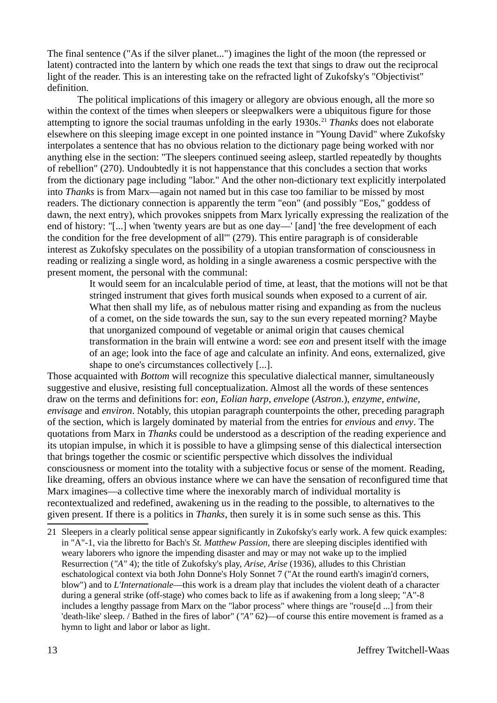The final sentence ("As if the silver planet...") imagines the light of the moon (the repressed or latent) contracted into the lantern by which one reads the text that sings to draw out the reciprocal light of the reader. This is an interesting take on the refracted light of Zukofsky's "Objectivist" definition.

<span id="page-12-0"></span>The political implications of this imagery or allegory are obvious enough, all the more so within the context of the times when sleepers or sleepwalkers were a ubiquitous figure for those attempting to ignore the social traumas unfolding in the early 1930s.<sup>[21](#page-12-1)</sup> *Thanks* does not elaborate elsewhere on this sleeping image except in one pointed instance in "Young David" where Zukofsky interpolates a sentence that has no obvious relation to the dictionary page being worked with nor anything else in the section: "The sleepers continued seeing asleep, startled repeatedly by thoughts of rebellion" (270). Undoubtedly it is not happenstance that this concludes a section that works from the dictionary page including "labor." And the other non-dictionary text explicitly interpolated into *Thanks* is from Marx—again not named but in this case too familiar to be missed by most readers. The dictionary connection is apparently the term "eon" (and possibly "Eos," goddess of dawn, the next entry), which provokes snippets from Marx lyrically expressing the realization of the end of history: "[...] when 'twenty years are but as one day—' [and] 'the free development of each the condition for the free development of all'" (279). This entire paragraph is of considerable interest as Zukofsky speculates on the possibility of a utopian transformation of consciousness in reading or realizing a single word, as holding in a single awareness a cosmic perspective with the present moment, the personal with the communal:

> It would seem for an incalculable period of time, at least, that the motions will not be that stringed instrument that gives forth musical sounds when exposed to a current of air. What then shall my life, as of nebulous matter rising and expanding as from the nucleus of a comet, on the side towards the sun, say to the sun every repeated morning? Maybe that unorganized compound of vegetable or animal origin that causes chemical transformation in the brain will entwine a word: see *eon* and present itself with the image of an age; look into the face of age and calculate an infinity. And eons, externalized, give shape to one's circumstances collectively [...].

Those acquainted with *Bottom* will recognize this speculative dialectical manner, simultaneously suggestive and elusive, resisting full conceptualization. Almost all the words of these sentences draw on the terms and definitions for: *eon*, *Eolian harp*, *envelope* (*Astron*.), *enzyme*, *entwine*, *envisage* and *environ*. Notably, this utopian paragraph counterpoints the other, preceding paragraph of the section, which is largely dominated by material from the entries for *envious* and *envy*. The quotations from Marx in *Thanks* could be understood as a description of the reading experience and its utopian impulse, in which it is possible to have a glimpsing sense of this dialectical intersection that brings together the cosmic or scientific perspective which dissolves the individual consciousness or moment into the totality with a subjective focus or sense of the moment. Reading, like dreaming, offers an obvious instance where we can have the sensation of reconfigured time that Marx imagines—a collective time where the inexorably march of individual mortality is recontextualized and redefined, awakening us in the reading to the possible, to alternatives to the given present. If there is a politics in *Thanks*, then surely it is in some such sense as this. This

<span id="page-12-1"></span>[<sup>21</sup>](#page-12-0) Sleepers in a clearly political sense appear significantly in Zukofsky's early work. A few quick examples: in "A"-1, via the libretto for Bach's *St. Matthew Passion*, there are sleeping disciples identified with weary laborers who ignore the impending disaster and may or may not wake up to the implied Resurrection (*"A"* 4); the title of Zukofsky's play, *Arise, Arise* (1936), alludes to this Christian eschatological context via both John Donne's Holy Sonnet 7 ("At the round earth's imagin'd corners, blow") and to *L'Internationale*—this work is a dream play that includes the violent death of a character during a general strike (off-stage) who comes back to life as if awakening from a long sleep; "A"-8 includes a lengthy passage from Marx on the "labor process" where things are "rouse[d ...] from their 'death-like' sleep. / Bathed in the fires of labor" (*"A"* 62)—of course this entire movement is framed as a hymn to light and labor or labor as light.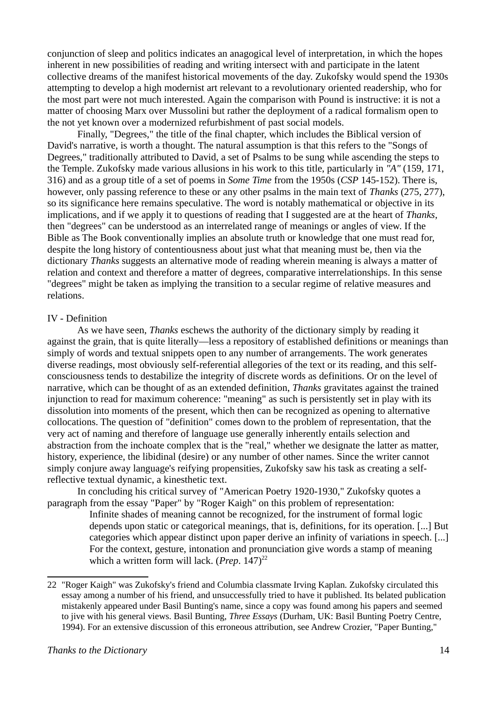conjunction of sleep and politics indicates an anagogical level of interpretation, in which the hopes inherent in new possibilities of reading and writing intersect with and participate in the latent collective dreams of the manifest historical movements of the day. Zukofsky would spend the 1930s attempting to develop a high modernist art relevant to a revolutionary oriented readership, who for the most part were not much interested. Again the comparison with Pound is instructive: it is not a matter of choosing Marx over Mussolini but rather the deployment of a radical formalism open to the not yet known over a modernized refurbishment of past social models.

Finally, "Degrees," the title of the final chapter, which includes the Biblical version of David's narrative, is worth a thought. The natural assumption is that this refers to the "Songs of Degrees," traditionally attributed to David, a set of Psalms to be sung while ascending the steps to the Temple. Zukofsky made various allusions in his work to this title, particularly in *"A"* (159, 171, 316) and as a group title of a set of poems in *Some Time* from the 1950s (*CSP* 145-152). There is, however, only passing reference to these or any other psalms in the main text of *Thanks* (275, 277), so its significance here remains speculative. The word is notably mathematical or objective in its implications, and if we apply it to questions of reading that I suggested are at the heart of *Thanks*, then "degrees" can be understood as an interrelated range of meanings or angles of view. If the Bible as The Book conventionally implies an absolute truth or knowledge that one must read for, despite the long history of contentiousness about just what that meaning must be, then via the dictionary *Thanks* suggests an alternative mode of reading wherein meaning is always a matter of relation and context and therefore a matter of degrees, comparative interrelationships. In this sense "degrees" might be taken as implying the transition to a secular regime of relative measures and relations.

#### IV - Definition

As we have seen, *Thanks* eschews the authority of the dictionary simply by reading it against the grain, that is quite literally—less a repository of established definitions or meanings than simply of words and textual snippets open to any number of arrangements. The work generates diverse readings, most obviously self-referential allegories of the text or its reading, and this selfconsciousness tends to destabilize the integrity of discrete words as definitions. Or on the level of narrative, which can be thought of as an extended definition, *Thanks* gravitates against the trained injunction to read for maximum coherence: "meaning" as such is persistently set in play with its dissolution into moments of the present, which then can be recognized as opening to alternative collocations. The question of "definition" comes down to the problem of representation, that the very act of naming and therefore of language use generally inherently entails selection and abstraction from the inchoate complex that is the "real," whether we designate the latter as matter, history, experience, the libidinal (desire) or any number of other names. Since the writer cannot simply conjure away language's reifying propensities, Zukofsky saw his task as creating a selfreflective textual dynamic, a kinesthetic text.

In concluding his critical survey of "American Poetry 1920-1930," Zukofsky quotes a paragraph from the essay "Paper" by "Roger Kaigh" on this problem of representation:

> <span id="page-13-0"></span>Infinite shades of meaning cannot be recognized, for the instrument of formal logic depends upon static or categorical meanings, that is, definitions, for its operation. [...] But categories which appear distinct upon paper derive an infinity of variations in speech. [...] For the context, gesture, intonation and pronunciation give words a stamp of meaning which a written form will lack. (*Prep*. 147)<sup>[22](#page-13-1)</sup>

<span id="page-13-1"></span>[<sup>22</sup>](#page-13-0) "Roger Kaigh" was Zukofsky's friend and Columbia classmate Irving Kaplan. Zukofsky circulated this essay among a number of his friend, and unsuccessfully tried to have it published. Its belated publication mistakenly appeared under Basil Bunting's name, since a copy was found among his papers and seemed to jive with his general views. Basil Bunting, *Three Essays* (Durham, UK: Basil Bunting Poetry Centre, 1994). For an extensive discussion of this erroneous attribution, see Andrew Crozier, "Paper Bunting,"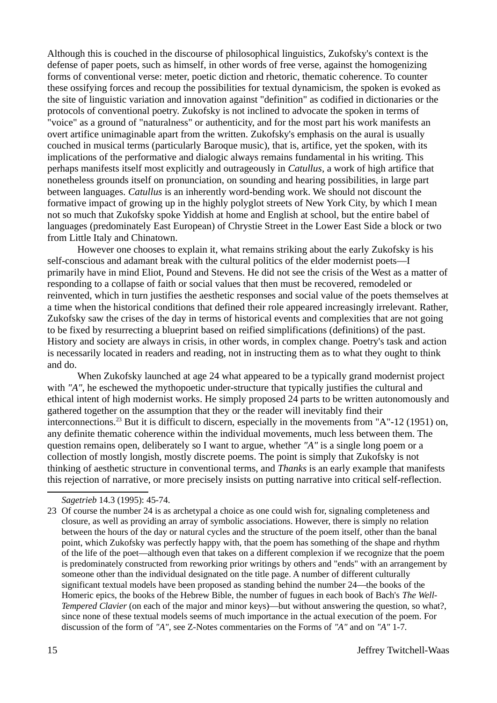Although this is couched in the discourse of philosophical linguistics, Zukofsky's context is the defense of paper poets, such as himself, in other words of free verse, against the homogenizing forms of conventional verse: meter, poetic diction and rhetoric, thematic coherence. To counter these ossifying forces and recoup the possibilities for textual dynamicism, the spoken is evoked as the site of linguistic variation and innovation against "definition" as codified in dictionaries or the protocols of conventional poetry. Zukofsky is not inclined to advocate the spoken in terms of "voice" as a ground of "naturalness" or authenticity, and for the most part his work manifests an overt artifice unimaginable apart from the written. Zukofsky's emphasis on the aural is usually couched in musical terms (particularly Baroque music), that is, artifice, yet the spoken, with its implications of the performative and dialogic always remains fundamental in his writing. This perhaps manifests itself most explicitly and outrageously in *Catullus*, a work of high artifice that nonetheless grounds itself on pronunciation, on sounding and hearing possibilities, in large part between languages. *Catullus* is an inherently word-bending work. We should not discount the formative impact of growing up in the highly polyglot streets of New York City, by which I mean not so much that Zukofsky spoke Yiddish at home and English at school, but the entire babel of languages (predominately East European) of Chrystie Street in the Lower East Side a block or two from Little Italy and Chinatown.

However one chooses to explain it, what remains striking about the early Zukofsky is his self-conscious and adamant break with the cultural politics of the elder modernist poets—I primarily have in mind Eliot, Pound and Stevens. He did not see the crisis of the West as a matter of responding to a collapse of faith or social values that then must be recovered, remodeled or reinvented, which in turn justifies the aesthetic responses and social value of the poets themselves at a time when the historical conditions that defined their role appeared increasingly irrelevant. Rather, Zukofsky saw the crises of the day in terms of historical events and complexities that are not going to be fixed by resurrecting a blueprint based on reified simplifications (definitions) of the past. History and society are always in crisis, in other words, in complex change. Poetry's task and action is necessarily located in readers and reading, not in instructing them as to what they ought to think and do.

<span id="page-14-0"></span>When Zukofsky launched at age 24 what appeared to be a typically grand modernist project with "A", he eschewed the mythopoetic under-structure that typically justifies the cultural and ethical intent of high modernist works. He simply proposed 24 parts to be written autonomously and gathered together on the assumption that they or the reader will inevitably find their interconnections.<sup>[23](#page-14-1)</sup> But it is difficult to discern, especially in the movements from "A"-12 (1951) on, any definite thematic coherence within the individual movements, much less between them. The question remains open, deliberately so I want to argue, whether *"A"* is a single long poem or a collection of mostly longish, mostly discrete poems. The point is simply that Zukofsky is not thinking of aesthetic structure in conventional terms, and *Thanks* is an early example that manifests this rejection of narrative, or more precisely insists on putting narrative into critical self-reflection.

<span id="page-14-1"></span>*Sagetrieb* 14.3 (1995): 45-74.

[<sup>23</sup>](#page-14-0) Of course the number 24 is as archetypal a choice as one could wish for, signaling completeness and closure, as well as providing an array of symbolic associations. However, there is simply no relation between the hours of the day or natural cycles and the structure of the poem itself, other than the banal point, which Zukofsky was perfectly happy with, that the poem has something of the shape and rhythm of the life of the poet—although even that takes on a different complexion if we recognize that the poem is predominately constructed from reworking prior writings by others and "ends" with an arrangement by someone other than the individual designated on the title page. A number of different culturally significant textual models have been proposed as standing behind the number 24—the books of the Homeric epics, the books of the Hebrew Bible, the number of fugues in each book of Bach's *The Well-Tempered Clavier* (on each of the major and minor keys)—but without answering the question, so what?, since none of these textual models seems of much importance in the actual execution of the poem. For discussion of the form of *"A"*, see Z-Notes commentaries on the Forms of *"A"* and on *"A"* 1-7.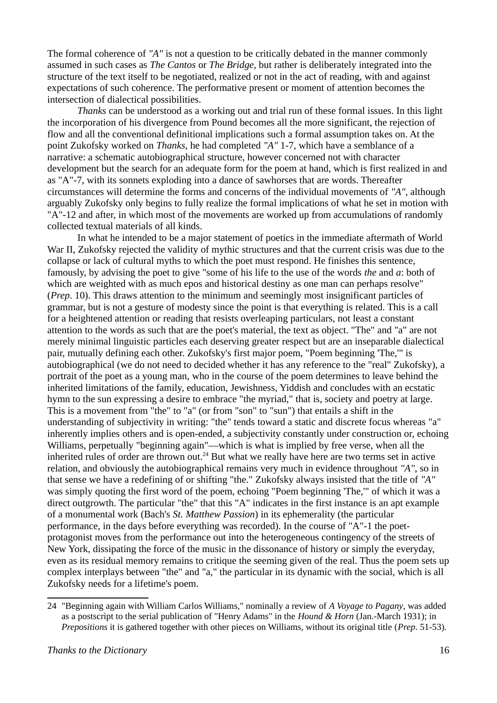The formal coherence of *"A"* is not a question to be critically debated in the manner commonly assumed in such cases as *The Cantos* or *The Bridge*, but rather is deliberately integrated into the structure of the text itself to be negotiated, realized or not in the act of reading, with and against expectations of such coherence. The performative present or moment of attention becomes the intersection of dialectical possibilities.

*Thanks* can be understood as a working out and trial run of these formal issues. In this light the incorporation of his divergence from Pound becomes all the more significant, the rejection of flow and all the conventional definitional implications such a formal assumption takes on. At the point Zukofsky worked on *Thanks*, he had completed *"A"* 1-7, which have a semblance of a narrative: a schematic autobiographical structure, however concerned not with character development but the search for an adequate form for the poem at hand, which is first realized in and as "A"-7, with its sonnets exploding into a dance of sawhorses that are words. Thereafter circumstances will determine the forms and concerns of the individual movements of *"A"*, although arguably Zukofsky only begins to fully realize the formal implications of what he set in motion with "A"-12 and after, in which most of the movements are worked up from accumulations of randomly collected textual materials of all kinds.

In what he intended to be a major statement of poetics in the immediate aftermath of World War II, Zukofsky rejected the validity of mythic structures and that the current crisis was due to the collapse or lack of cultural myths to which the poet must respond. He finishes this sentence, famously, by advising the poet to give "some of his life to the use of the words *the* and *a*: both of which are weighted with as much epos and historical destiny as one man can perhaps resolve" (*Prep*. 10). This draws attention to the minimum and seemingly most insignificant particles of grammar, but is not a gesture of modesty since the point is that everything is related. This is a call for a heightened attention or reading that resists overleaping particulars, not least a constant attention to the words as such that are the poet's material, the text as object. "The" and "a" are not merely minimal linguistic particles each deserving greater respect but are an inseparable dialectical pair, mutually defining each other. Zukofsky's first major poem, "Poem beginning 'The,'" is autobiographical (we do not need to decided whether it has any reference to the "real" Zukofsky), a portrait of the poet as a young man, who in the course of the poem determines to leave behind the inherited limitations of the family, education, Jewishness, Yiddish and concludes with an ecstatic hymn to the sun expressing a desire to embrace "the myriad," that is, society and poetry at large. This is a movement from "the" to "a" (or from "son" to "sun") that entails a shift in the understanding of subjectivity in writing: "the" tends toward a static and discrete focus whereas "a" inherently implies others and is open-ended, a subjectivity constantly under construction or, echoing Williams, perpetually "beginning again"—which is what is implied by free verse, when all the inherited rules of order are thrown out. $^{24}$  $^{24}$  $^{24}$  But what we really have here are two terms set in active relation, and obviously the autobiographical remains very much in evidence throughout *"A"*, so in that sense we have a redefining of or shifting "the." Zukofsky always insisted that the title of *"A"* was simply quoting the first word of the poem, echoing "Poem beginning 'The,'" of which it was a direct outgrowth. The particular "the" that this "A" indicates in the first instance is an apt example of a monumental work (Bach's *St. Matthew Passion*) in its ephemerality (the particular performance, in the days before everything was recorded). In the course of "A"-1 the poetprotagonist moves from the performance out into the heterogeneous contingency of the streets of New York, dissipating the force of the music in the dissonance of history or simply the everyday, even as its residual memory remains to critique the seeming given of the real. Thus the poem sets up complex interplays between "the" and "a," the particular in its dynamic with the social, which is all Zukofsky needs for a lifetime's poem.

<span id="page-15-1"></span><span id="page-15-0"></span>[<sup>24</sup>](#page-15-0) "Beginning again with William Carlos Williams," nominally a review of *A Voyage to Pagany*, was added as a postscript to the serial publication of "Henry Adams" in the *Hound & Horn* (Jan.-March 1931); in *Prepositions* it is gathered together with other pieces on Williams, without its original title (*Prep*. 51-53).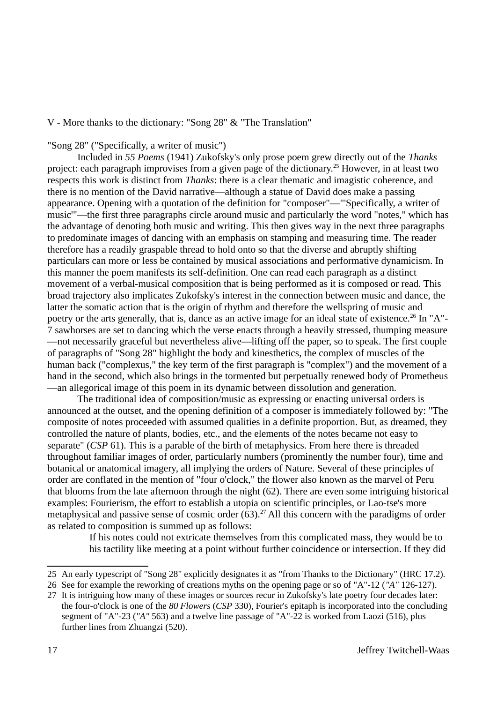V - More thanks to the dictionary: "Song 28" & "The Translation"

<span id="page-16-0"></span>"Song 28" ("Specifically, a writer of music")

Included in *55 Poems* (1941) Zukofsky's only prose poem grew directly out of the *Thanks* project: each paragraph improvises from a given page of the dictionary.[25](#page-16-1) However, in at least two respects this work is distinct from *Thanks*: there is a clear thematic and imagistic coherence, and there is no mention of the David narrative—although a statue of David does make a passing appearance. Opening with a quotation of the definition for "composer"—"'Specifically, a writer of music'"—the first three paragraphs circle around music and particularly the word "notes," which has the advantage of denoting both music and writing. This then gives way in the next three paragraphs to predominate images of dancing with an emphasis on stamping and measuring time. The reader therefore has a readily graspable thread to hold onto so that the diverse and abruptly shifting particulars can more or less be contained by musical associations and performative dynamicism. In this manner the poem manifests its self-definition. One can read each paragraph as a distinct movement of a verbal-musical composition that is being performed as it is composed or read. This broad trajectory also implicates Zukofsky's interest in the connection between music and dance, the latter the somatic action that is the origin of rhythm and therefore the wellspring of music and poetry or the arts generally, that is, dance as an active image for an ideal state of existence.<sup>[26](#page-16-3)</sup> In "A"-7 sawhorses are set to dancing which the verse enacts through a heavily stressed, thumping measure —not necessarily graceful but nevertheless alive—lifting off the paper, so to speak. The first couple of paragraphs of "Song 28" highlight the body and kinesthetics, the complex of muscles of the human back ("complexus," the key term of the first paragraph is "complex") and the movement of a hand in the second, which also brings in the tormented but perpetually renewed body of Prometheus —an allegorical image of this poem in its dynamic between dissolution and generation.

<span id="page-16-2"></span>The traditional idea of composition/music as expressing or enacting universal orders is announced at the outset, and the opening definition of a composer is immediately followed by: "The composite of notes proceeded with assumed qualities in a definite proportion. But, as dreamed, they controlled the nature of plants, bodies, etc., and the elements of the notes became not easy to separate" (*CSP* 61). This is a parable of the birth of metaphysics. From here there is threaded throughout familiar images of order, particularly numbers (prominently the number four), time and botanical or anatomical imagery, all implying the orders of Nature. Several of these principles of order are conflated in the mention of "four o'clock," the flower also known as the marvel of Peru that blooms from the late afternoon through the night (62). There are even some intriguing historical examples: Fourierism, the effort to establish a utopia on scientific principles, or Lao-tse's more metaphysical and passive sense of cosmic order  $(63)$ .<sup>[27](#page-16-5)</sup> All this concern with the paradigms of order as related to composition is summed up as follows:

> <span id="page-16-4"></span>If his notes could not extricate themselves from this complicated mass, they would be to his tactility like meeting at a point without further coincidence or intersection. If they did

<span id="page-16-1"></span>[<sup>25</sup>](#page-16-0) An early typescript of "Song 28" explicitly designates it as "from Thanks to the Dictionary" (HRC 17.2).

<span id="page-16-3"></span>[<sup>26</sup>](#page-16-2) See for example the reworking of creations myths on the opening page or so of "A"-12 (*"A"* 126-127).

<span id="page-16-5"></span>[<sup>27</sup>](#page-16-4) It is intriguing how many of these images or sources recur in Zukofsky's late poetry four decades later: the four-o'clock is one of the *80 Flowers* (*CSP* 330), Fourier's epitaph is incorporated into the concluding segment of "A"-23 (*"A"* 563) and a twelve line passage of "A"-22 is worked from Laozi (516), plus further lines from Zhuangzi (520).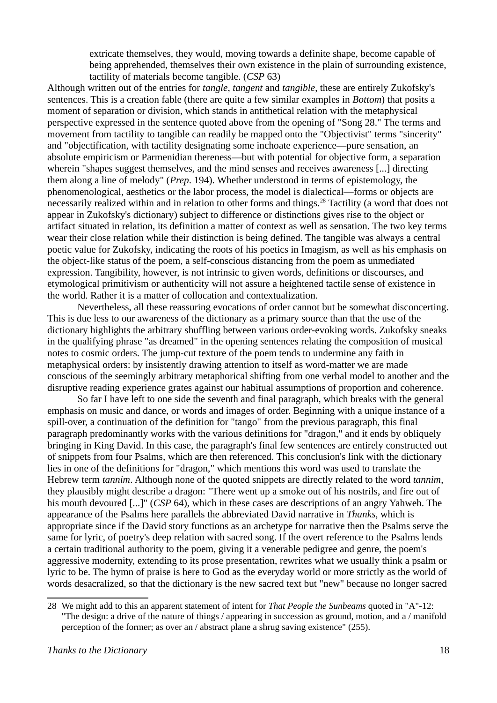<span id="page-17-0"></span>extricate themselves, they would, moving towards a definite shape, become capable of being apprehended, themselves their own existence in the plain of surrounding existence, tactility of materials become tangible. (*CSP* 63)

Although written out of the entries for *tangle*, *tangent* and *tangible*, these are entirely Zukofsky's sentences. This is a creation fable (there are quite a few similar examples in *Bottom*) that posits a moment of separation or division, which stands in antithetical relation with the metaphysical perspective expressed in the sentence quoted above from the opening of "Song 28." The terms and movement from tactility to tangible can readily be mapped onto the "Objectivist" terms "sincerity" and "objectification, with tactility designating some inchoate experience—pure sensation, an absolute empiricism or Parmenidian thereness—but with potential for objective form, a separation wherein "shapes suggest themselves, and the mind senses and receives awareness [...] directing them along a line of melody" (*Prep*. 194). Whether understood in terms of epistemology, the phenomenological, aesthetics or the labor process, the model is dialectical—forms or objects are necessarily realized within and in relation to other forms and things.<sup>[28](#page-17-1)</sup> Tactility (a word that does not appear in Zukofsky's dictionary) subject to difference or distinctions gives rise to the object or artifact situated in relation, its definition a matter of context as well as sensation. The two key terms wear their close relation while their distinction is being defined. The tangible was always a central poetic value for Zukofsky, indicating the roots of his poetics in Imagism, as well as his emphasis on the object-like status of the poem, a self-conscious distancing from the poem as unmediated expression. Tangibility, however, is not intrinsic to given words, definitions or discourses, and etymological primitivism or authenticity will not assure a heightened tactile sense of existence in the world. Rather it is a matter of collocation and contextualization.

Nevertheless, all these reassuring evocations of order cannot but be somewhat disconcerting. This is due less to our awareness of the dictionary as a primary source than that the use of the dictionary highlights the arbitrary shuffling between various order-evoking words. Zukofsky sneaks in the qualifying phrase "as dreamed" in the opening sentences relating the composition of musical notes to cosmic orders. The jump-cut texture of the poem tends to undermine any faith in metaphysical orders: by insistently drawing attention to itself as word-matter we are made conscious of the seemingly arbitrary metaphorical shifting from one verbal model to another and the disruptive reading experience grates against our habitual assumptions of proportion and coherence.

So far I have left to one side the seventh and final paragraph, which breaks with the general emphasis on music and dance, or words and images of order. Beginning with a unique instance of a spill-over, a continuation of the definition for "tango" from the previous paragraph, this final paragraph predominantly works with the various definitions for "dragon," and it ends by obliquely bringing in King David. In this case, the paragraph's final few sentences are entirely constructed out of snippets from four Psalms, which are then referenced. This conclusion's link with the dictionary lies in one of the definitions for "dragon," which mentions this word was used to translate the Hebrew term *tannim*. Although none of the quoted snippets are directly related to the word *tannim*, they plausibly might describe a dragon: "There went up a smoke out of his nostrils, and fire out of his mouth devoured [...]" (*CSP* 64), which in these cases are descriptions of an angry Yahweh. The appearance of the Psalms here parallels the abbreviated David narrative in *Thanks*, which is appropriate since if the David story functions as an archetype for narrative then the Psalms serve the same for lyric, of poetry's deep relation with sacred song. If the overt reference to the Psalms lends a certain traditional authority to the poem, giving it a venerable pedigree and genre, the poem's aggressive modernity, extending to its prose presentation, rewrites what we usually think a psalm or lyric to be. The hymn of praise is here to God as the everyday world or more strictly as the world of words desacralized, so that the dictionary is the new sacred text but "new" because no longer sacred

<span id="page-17-1"></span>[<sup>28</sup>](#page-17-0) We might add to this an apparent statement of intent for *That People the Sunbeams* quoted in "A"-12: "The design: a drive of the nature of things / appearing in succession as ground, motion, and a / manifold perception of the former; as over an / abstract plane a shrug saving existence" (255).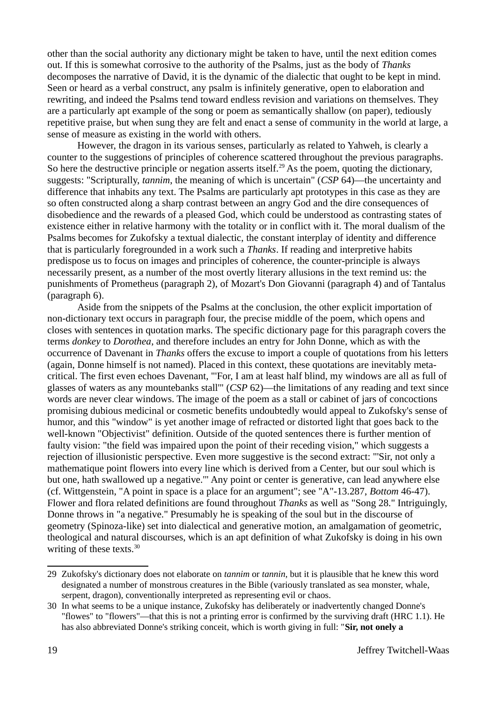other than the social authority any dictionary might be taken to have, until the next edition comes out. If this is somewhat corrosive to the authority of the Psalms, just as the body of *Thanks* decomposes the narrative of David, it is the dynamic of the dialectic that ought to be kept in mind. Seen or heard as a verbal construct, any psalm is infinitely generative, open to elaboration and rewriting, and indeed the Psalms tend toward endless revision and variations on themselves. They are a particularly apt example of the song or poem as semantically shallow (on paper), tediously repetitive praise, but when sung they are felt and enact a sense of community in the world at large, a sense of measure as existing in the world with others.

<span id="page-18-0"></span>However, the dragon in its various senses, particularly as related to Yahweh, is clearly a counter to the suggestions of principles of coherence scattered throughout the previous paragraphs. So here the destructive principle or negation asserts itself.<sup>[29](#page-18-1)</sup> As the poem, quoting the dictionary, suggests: "Scripturally, *tannim*, the meaning of which is uncertain" (*CSP* 64)—the uncertainty and difference that inhabits any text. The Psalms are particularly apt prototypes in this case as they are so often constructed along a sharp contrast between an angry God and the dire consequences of disobedience and the rewards of a pleased God, which could be understood as contrasting states of existence either in relative harmony with the totality or in conflict with it. The moral dualism of the Psalms becomes for Zukofsky a textual dialectic, the constant interplay of identity and difference that is particularly foregrounded in a work such a *Thanks*. If reading and interpretive habits predispose us to focus on images and principles of coherence, the counter-principle is always necessarily present, as a number of the most overtly literary allusions in the text remind us: the punishments of Prometheus (paragraph 2), of Mozart's Don Giovanni (paragraph 4) and of Tantalus (paragraph 6).

Aside from the snippets of the Psalms at the conclusion, the other explicit importation of non-dictionary text occurs in paragraph four, the precise middle of the poem, which opens and closes with sentences in quotation marks. The specific dictionary page for this paragraph covers the terms *donkey* to *Dorothea*, and therefore includes an entry for John Donne, which as with the occurrence of Davenant in *Thanks* offers the excuse to import a couple of quotations from his letters (again, Donne himself is not named). Placed in this context, these quotations are inevitably metacritical. The first even echoes Davenant, "'For, I am at least half blind, my windows are all as full of glasses of waters as any mountebanks stall'" (*CSP* 62)—the limitations of any reading and text since words are never clear windows. The image of the poem as a stall or cabinet of jars of concoctions promising dubious medicinal or cosmetic benefits undoubtedly would appeal to Zukofsky's sense of humor, and this "window" is yet another image of refracted or distorted light that goes back to the well-known "Objectivist" definition. Outside of the quoted sentences there is further mention of faulty vision: "the field was impaired upon the point of their receding vision," which suggests a rejection of illusionistic perspective. Even more suggestive is the second extract: "'Sir, not only a mathematique point flowers into every line which is derived from a Center, but our soul which is but one, hath swallowed up a negative.'" Any point or center is generative, can lead anywhere else (cf. Wittgenstein, "A point in space is a place for an argument"; see "A"-13.287, *Bottom* 46-47). Flower and flora related definitions are found throughout *Thanks* as well as "Song 28." Intriguingly, Donne throws in "a negative." Presumably he is speaking of the soul but in the discourse of geometry (Spinoza-like) set into dialectical and generative motion, an amalgamation of geometric, theological and natural discourses, which is an apt definition of what Zukofsky is doing in his own writing of these texts.<sup>[30](#page-18-3)</sup>

<span id="page-18-2"></span><span id="page-18-1"></span>[<sup>29</sup>](#page-18-0) Zukofsky's dictionary does not elaborate on *tannim* or *tannin*, but it is plausible that he knew this word designated a number of monstrous creatures in the Bible (variously translated as sea monster, whale, serpent, dragon), conventionally interpreted as representing evil or chaos.

<span id="page-18-3"></span>[<sup>30</sup>](#page-18-2) In what seems to be a unique instance, Zukofsky has deliberately or inadvertently changed Donne's "flowes" to "flowers"—that this is not a printing error is confirmed by the surviving draft (HRC 1.1). He has also abbreviated Donne's striking conceit, which is worth giving in full: "**Sir, not onely a**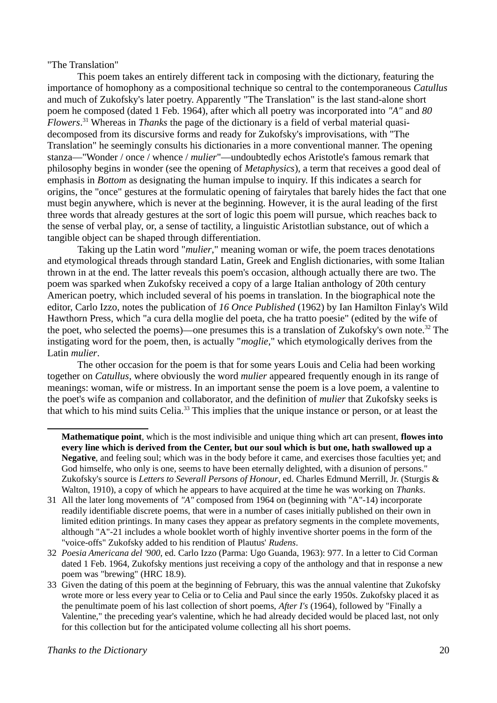"The Translation"

<span id="page-19-0"></span>This poem takes an entirely different tack in composing with the dictionary, featuring the importance of homophony as a compositional technique so central to the contemporaneous *Catullus* and much of Zukofsky's later poetry. Apparently "The Translation" is the last stand-alone short poem he composed (dated 1 Feb. 1964), after which all poetry was incorporated into *"A"* and *80 Flowers*. [31](#page-19-1) Whereas in *Thanks* the page of the dictionary is a field of verbal material quasidecomposed from its discursive forms and ready for Zukofsky's improvisations, with "The Translation" he seemingly consults his dictionaries in a more conventional manner. The opening stanza—"Wonder / once / whence / *mulier*"—undoubtedly echos Aristotle's famous remark that philosophy begins in wonder (see the opening of *Metaphysics*), a term that receives a good deal of emphasis in *Bottom* as designating the human impulse to inquiry. If this indicates a search for origins, the "once" gestures at the formulatic opening of fairytales that barely hides the fact that one must begin anywhere, which is never at the beginning. However, it is the aural leading of the first three words that already gestures at the sort of logic this poem will pursue, which reaches back to the sense of verbal play, or, a sense of tactility, a linguistic Aristotlian substance, out of which a tangible object can be shaped through differentiation.

Taking up the Latin word "*mulier*," meaning woman or wife, the poem traces denotations and etymological threads through standard Latin, Greek and English dictionaries, with some Italian thrown in at the end. The latter reveals this poem's occasion, although actually there are two. The poem was sparked when Zukofsky received a copy of a large Italian anthology of 20th century American poetry, which included several of his poems in translation. In the biographical note the editor, Carlo Izzo, notes the publication of *16 Once Published* (1962) by Ian Hamilton Finlay's Wild Hawthorn Press, which "a cura della moglie del poeta, che ha tratto poesie" (edited by the wife of the poet, who selected the poems)—one presumes this is a translation of Zukofsky's own note.<sup>[32](#page-19-3)</sup> The instigating word for the poem, then, is actually "*moglie*," which etymologically derives from the Latin *mulier*.

The other occasion for the poem is that for some years Louis and Celia had been working together on *Catullus*, where obviously the word *mulier* appeared frequently enough in its range of meanings: woman, wife or mistress. In an important sense the poem is a love poem, a valentine to the poet's wife as companion and collaborator, and the definition of *mulier* that Zukofsky seeks is that which to his mind suits Celia.<sup>[33](#page-19-5)</sup> This implies that the unique instance or person, or at least the

<span id="page-19-4"></span><span id="page-19-2"></span>**Mathematique point**, which is the most indivisible and unique thing which art can present, **flowes into every line which is derived from the Center, but our soul which is but one, hath swallowed up a Negative**, and feeling soul; which was in the body before it came, and exercises those faculties yet; and God himselfe, who only is one, seems to have been eternally delighted, with a disunion of persons." Zukofsky's source is *Letters to Severall Persons of Honour*, ed. Charles Edmund Merrill, Jr. (Sturgis & Walton, 1910), a copy of which he appears to have acquired at the time he was working on *Thanks*.

<span id="page-19-1"></span>[<sup>31</sup>](#page-19-0) All the later long movements of *"A"* composed from 1964 on (beginning with "A"-14) incorporate readily identifiable discrete poems, that were in a number of cases initially published on their own in limited edition printings. In many cases they appear as prefatory segments in the complete movements, although "A"-21 includes a whole booklet worth of highly inventive shorter poems in the form of the "voice-offs" Zukofsky added to his rendition of Plautus' *Rudens*.

<span id="page-19-3"></span>[<sup>32</sup>](#page-19-2) *Poesia Americana del '900*, ed. Carlo Izzo (Parma: Ugo Guanda, 1963): 977. In a letter to Cid Corman dated 1 Feb. 1964, Zukofsky mentions just receiving a copy of the anthology and that in response a new poem was "brewing" (HRC 18.9).

<span id="page-19-5"></span>[<sup>33</sup>](#page-19-4) Given the dating of this poem at the beginning of February, this was the annual valentine that Zukofsky wrote more or less every year to Celia or to Celia and Paul since the early 1950s. Zukofsky placed it as the penultimate poem of his last collection of short poems, *After I's* (1964), followed by "Finally a Valentine," the preceding year's valentine, which he had already decided would be placed last, not only for this collection but for the anticipated volume collecting all his short poems.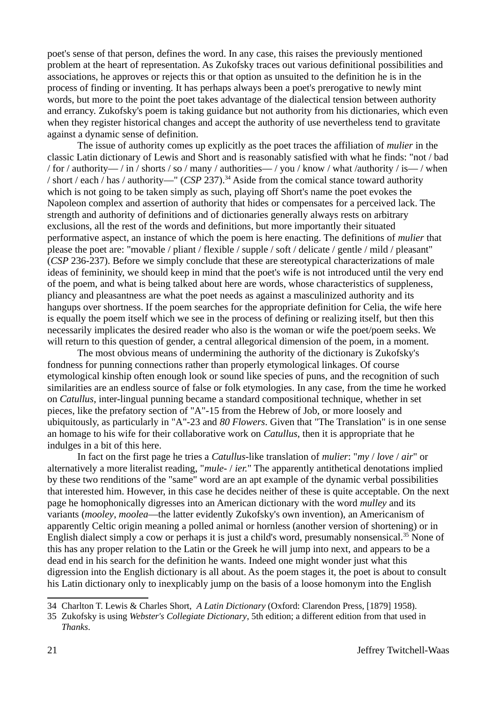poet's sense of that person, defines the word. In any case, this raises the previously mentioned problem at the heart of representation. As Zukofsky traces out various definitional possibilities and associations, he approves or rejects this or that option as unsuited to the definition he is in the process of finding or inventing. It has perhaps always been a poet's prerogative to newly mint words, but more to the point the poet takes advantage of the dialectical tension between authority and errancy. Zukofsky's poem is taking guidance but not authority from his dictionaries, which even when they register historical changes and accept the authority of use nevertheless tend to gravitate against a dynamic sense of definition.

<span id="page-20-0"></span>The issue of authority comes up explicitly as the poet traces the affiliation of *mulier* in the classic Latin dictionary of Lewis and Short and is reasonably satisfied with what he finds: "not / bad / for / authority— / in / shorts / so / many / authorities— / you / know / what /authority / is— / when / short / each / has / authority—" (*CSP* 237).[34](#page-20-1) Aside from the comical stance toward authority which is not going to be taken simply as such, playing off Short's name the poet evokes the Napoleon complex and assertion of authority that hides or compensates for a perceived lack. The strength and authority of definitions and of dictionaries generally always rests on arbitrary exclusions, all the rest of the words and definitions, but more importantly their situated performative aspect, an instance of which the poem is here enacting. The definitions of *mulier* that please the poet are: "movable / pliant / flexible / supple / soft / delicate / gentle / mild / pleasant" (*CSP* 236-237). Before we simply conclude that these are stereotypical characterizations of male ideas of femininity, we should keep in mind that the poet's wife is not introduced until the very end of the poem, and what is being talked about here are words, whose characteristics of suppleness, pliancy and pleasantness are what the poet needs as against a masculinized authority and its hangups over shortness. If the poem searches for the appropriate definition for Celia, the wife here is equally the poem itself which we see in the process of defining or realizing itself, but then this necessarily implicates the desired reader who also is the woman or wife the poet/poem seeks. We will return to this question of gender, a central allegorical dimension of the poem, in a moment.

The most obvious means of undermining the authority of the dictionary is Zukofsky's fondness for punning connections rather than properly etymological linkages. Of course etymological kinship often enough look or sound like species of puns, and the recognition of such similarities are an endless source of false or folk etymologies. In any case, from the time he worked on *Catullus*, inter-lingual punning became a standard compositional technique, whether in set pieces, like the prefatory section of "A"-15 from the Hebrew of Job, or more loosely and ubiquitously, as particularly in "A"-23 and *80 Flowers*. Given that "The Translation" is in one sense an homage to his wife for their collaborative work on *Catullus*, then it is appropriate that he indulges in a bit of this here.

In fact on the first page he tries a *Catullus*-like translation of *mulier*: "*my* / *love* / *air*" or alternatively a more literalist reading, "*mule-* / *ier.*" The apparently antithetical denotations implied by these two renditions of the "same" word are an apt example of the dynamic verbal possibilities that interested him. However, in this case he decides neither of these is quite acceptable. On the next page he homophonically digresses into an American dictionary with the word *mulley* and its variants (*mooley*, *moolea*—the latter evidently Zukofsky's own invention), an Americanism of apparently Celtic origin meaning a polled animal or hornless (another version of shortening) or in English dialect simply a cow or perhaps it is just a child's word, presumably nonsensical.<sup>[35](#page-20-3)</sup> None of this has any proper relation to the Latin or the Greek he will jump into next, and appears to be a dead end in his search for the definition he wants. Indeed one might wonder just what this digression into the English dictionary is all about. As the poem stages it, the poet is about to consult his Latin dictionary only to inexplicably jump on the basis of a loose homonym into the English

<span id="page-20-2"></span><span id="page-20-1"></span>[<sup>34</sup>](#page-20-0) Charlton T. Lewis & Charles Short, *A Latin Dictionary* (Oxford: Clarendon Press, [1879] 1958).

<span id="page-20-3"></span>[<sup>35</sup>](#page-20-2) Zukofsky is using *Webster's Collegiate Dictionary*, 5th edition; a different edition from that used in *Thanks*.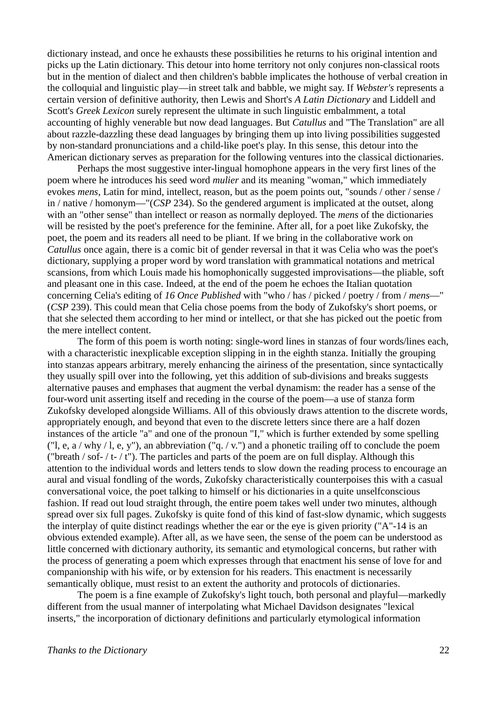dictionary instead, and once he exhausts these possibilities he returns to his original intention and picks up the Latin dictionary. This detour into home territory not only conjures non-classical roots but in the mention of dialect and then children's babble implicates the hothouse of verbal creation in the colloquial and linguistic play—in street talk and babble, we might say. If *Webster's* represents a certain version of definitive authority, then Lewis and Short's *A Latin Dictionary* and Liddell and Scott's *Greek Lexicon* surely represent the ultimate in such linguistic embalmment, a total accounting of highly venerable but now dead languages. But *Catullus* and "The Translation" are all about razzle-dazzling these dead languages by bringing them up into living possibilities suggested by non-standard pronunciations and a child-like poet's play. In this sense, this detour into the American dictionary serves as preparation for the following ventures into the classical dictionaries.

Perhaps the most suggestive inter-lingual homophone appears in the very first lines of the poem where he introduces his seed word *mulier* and its meaning "woman," which immediately evokes *mens*, Latin for mind, intellect, reason, but as the poem points out, "sounds / other / sense / in / native / homonym—"(*CSP* 234). So the gendered argument is implicated at the outset, along with an "other sense" than intellect or reason as normally deployed. The *mens* of the dictionaries will be resisted by the poet's preference for the feminine. After all, for a poet like Zukofsky, the poet, the poem and its readers all need to be pliant. If we bring in the collaborative work on *Catullus* once again, there is a comic bit of gender reversal in that it was Celia who was the poet's dictionary, supplying a proper word by word translation with grammatical notations and metrical scansions, from which Louis made his homophonically suggested improvisations—the pliable, soft and pleasant one in this case. Indeed, at the end of the poem he echoes the Italian quotation concerning Celia's editing of *16 Once Published* with "who / has / picked / poetry / from / *mens*—" (*CSP* 239). This could mean that Celia chose poems from the body of Zukofsky's short poems, or that she selected them according to her mind or intellect, or that she has picked out the poetic from the mere intellect content.

The form of this poem is worth noting: single-word lines in stanzas of four words/lines each, with a characteristic inexplicable exception slipping in in the eighth stanza. Initially the grouping into stanzas appears arbitrary, merely enhancing the airiness of the presentation, since syntactically they usually spill over into the following, yet this addition of sub-divisions and breaks suggests alternative pauses and emphases that augment the verbal dynamism: the reader has a sense of the four-word unit asserting itself and receding in the course of the poem—a use of stanza form Zukofsky developed alongside Williams. All of this obviously draws attention to the discrete words, appropriately enough, and beyond that even to the discrete letters since there are a half dozen instances of the article "a" and one of the pronoun "I," which is further extended by some spelling ("l, e, a / why / l, e, y"), an abbreviation ("q. / v.") and a phonetic trailing off to conclude the poem ("breath / sof- / t- / t"). The particles and parts of the poem are on full display. Although this attention to the individual words and letters tends to slow down the reading process to encourage an aural and visual fondling of the words, Zukofsky characteristically counterpoises this with a casual conversational voice, the poet talking to himself or his dictionaries in a quite unselfconscious fashion. If read out loud straight through, the entire poem takes well under two minutes, although spread over six full pages. Zukofsky is quite fond of this kind of fast-slow dynamic, which suggests the interplay of quite distinct readings whether the ear or the eye is given priority ("A"-14 is an obvious extended example). After all, as we have seen, the sense of the poem can be understood as little concerned with dictionary authority, its semantic and etymological concerns, but rather with the process of generating a poem which expresses through that enactment his sense of love for and companionship with his wife, or by extension for his readers. This enactment is necessarily semantically oblique, must resist to an extent the authority and protocols of dictionaries.

The poem is a fine example of Zukofsky's light touch, both personal and playful—markedly different from the usual manner of interpolating what Michael Davidson designates "lexical inserts," the incorporation of dictionary definitions and particularly etymological information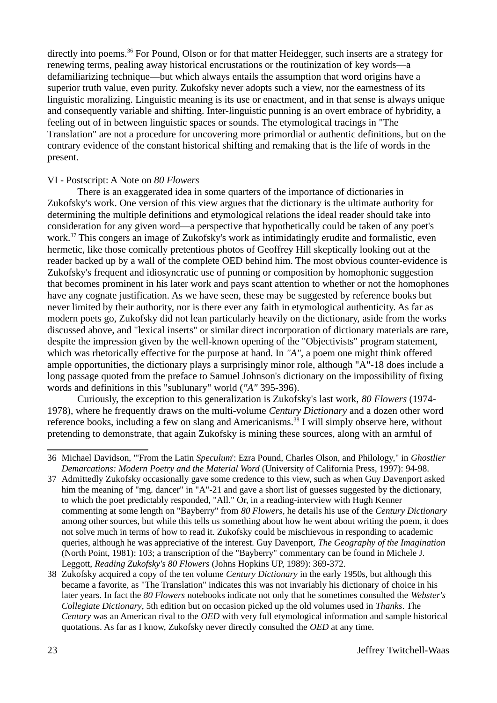<span id="page-22-0"></span>directly into poems.<sup>[36](#page-22-1)</sup> For Pound, Olson or for that matter Heidegger, such inserts are a strategy for renewing terms, pealing away historical encrustations or the routinization of key words—a defamiliarizing technique—but which always entails the assumption that word origins have a superior truth value, even purity. Zukofsky never adopts such a view, nor the earnestness of its linguistic moralizing. Linguistic meaning is its use or enactment, and in that sense is always unique and consequently variable and shifting. Inter-linguistic punning is an overt embrace of hybridity, a feeling out of in between linguistic spaces or sounds. The etymological tracings in "The Translation" are not a procedure for uncovering more primordial or authentic definitions, but on the contrary evidence of the constant historical shifting and remaking that is the life of words in the present.

# VI - Postscript: A Note on *80 Flowers*

<span id="page-22-2"></span>There is an exaggerated idea in some quarters of the importance of dictionaries in Zukofsky's work. One version of this view argues that the dictionary is the ultimate authority for determining the multiple definitions and etymological relations the ideal reader should take into consideration for any given word—a perspective that hypothetically could be taken of any poet's work.[37](#page-22-3) This congers an image of Zukofsky's work as intimidatingly erudite and formalistic, even hermetic, like those comically pretentious photos of Geoffrey Hill skeptically looking out at the reader backed up by a wall of the complete OED behind him. The most obvious counter-evidence is Zukofsky's frequent and idiosyncratic use of punning or composition by homophonic suggestion that becomes prominent in his later work and pays scant attention to whether or not the homophones have any cognate justification. As we have seen, these may be suggested by reference books but never limited by their authority, nor is there ever any faith in etymological authenticity. As far as modern poets go, Zukofsky did not lean particularly heavily on the dictionary, aside from the works discussed above, and "lexical inserts" or similar direct incorporation of dictionary materials are rare, despite the impression given by the well-known opening of the "Objectivists" program statement, which was rhetorically effective for the purpose at hand. In *"A"*, a poem one might think offered ample opportunities, the dictionary plays a surprisingly minor role, although "A"-18 does include a long passage quoted from the preface to Samuel Johnson's dictionary on the impossibility of fixing words and definitions in this "sublunary" world (*"A"* 395-396).

<span id="page-22-4"></span>Curiously, the exception to this generalization is Zukofsky's last work, *80 Flowers* (1974- 1978), where he frequently draws on the multi-volume *Century Dictionary* and a dozen other word reference books, including a few on slang and Americanisms.<sup>[38](#page-22-5)</sup> I will simply observe here, without pretending to demonstrate, that again Zukofsky is mining these sources, along with an armful of

<span id="page-22-1"></span>[<sup>36</sup>](#page-22-0) Michael Davidson, "'From the Latin *Speculum*': Ezra Pound, Charles Olson, and Philology," in *Ghostlier Demarcations: Modern Poetry and the Material Word* (University of California Press, 1997): 94-98.

<span id="page-22-3"></span>[<sup>37</sup>](#page-22-2) Admittedly Zukofsky occasionally gave some credence to this view, such as when Guy Davenport asked him the meaning of "mg. dancer" in "A"-21 and gave a short list of guesses suggested by the dictionary, to which the poet predictably responded, "All." Or, in a reading-interview with Hugh Kenner commenting at some length on "Bayberry" from *80 Flowers*, he details his use of the *Century Dictionary* among other sources, but while this tells us something about how he went about writing the poem, it does not solve much in terms of how to read it. Zukofsky could be mischievous in responding to academic queries, although he was appreciative of the interest. Guy Davenport, *The Geography of the Imagination* (North Point, 1981): 103; a transcription of the "Bayberry" commentary can be found in Michele J. Leggott, *Reading Zukofsky's 80 Flowers* (Johns Hopkins UP, 1989): 369-372.

<span id="page-22-5"></span>[<sup>38</sup>](#page-22-4) Zukofsky acquired a copy of the ten volume *Century Dictionary* in the early 1950s, but although this became a favorite, as "The Translation" indicates this was not invariably his dictionary of choice in his later years. In fact the *80 Flowers* notebooks indicate not only that he sometimes consulted the *Webster's Collegiate Dictionary*, 5th edition but on occasion picked up the old volumes used in *Thanks*. The *Century* was an American rival to the *OED* with very full etymological information and sample historical quotations. As far as I know, Zukofsky never directly consulted the *OED* at any time.